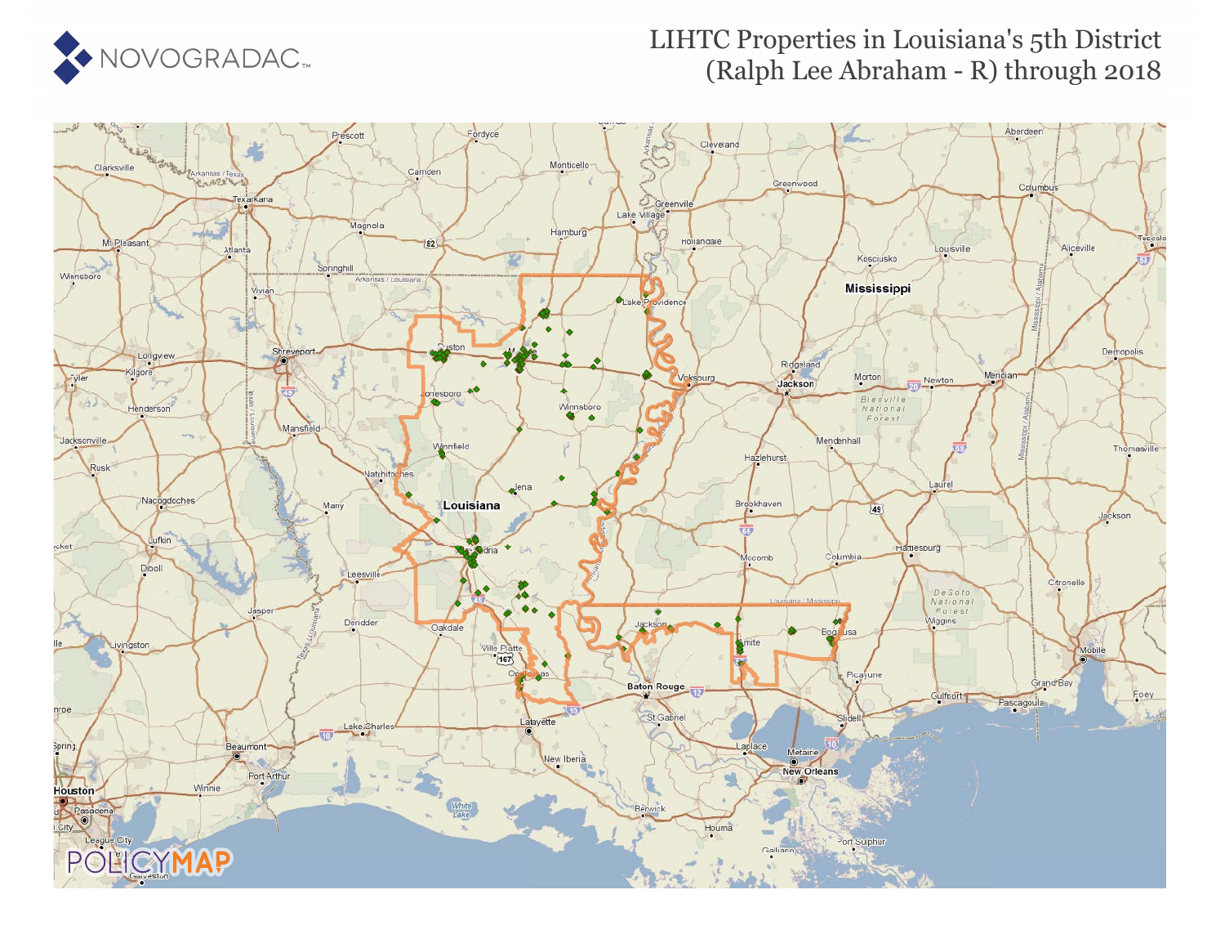

### LIHTC Properties in Louisiana's 5th District (Ralph Lee Abraham - R) through 2018

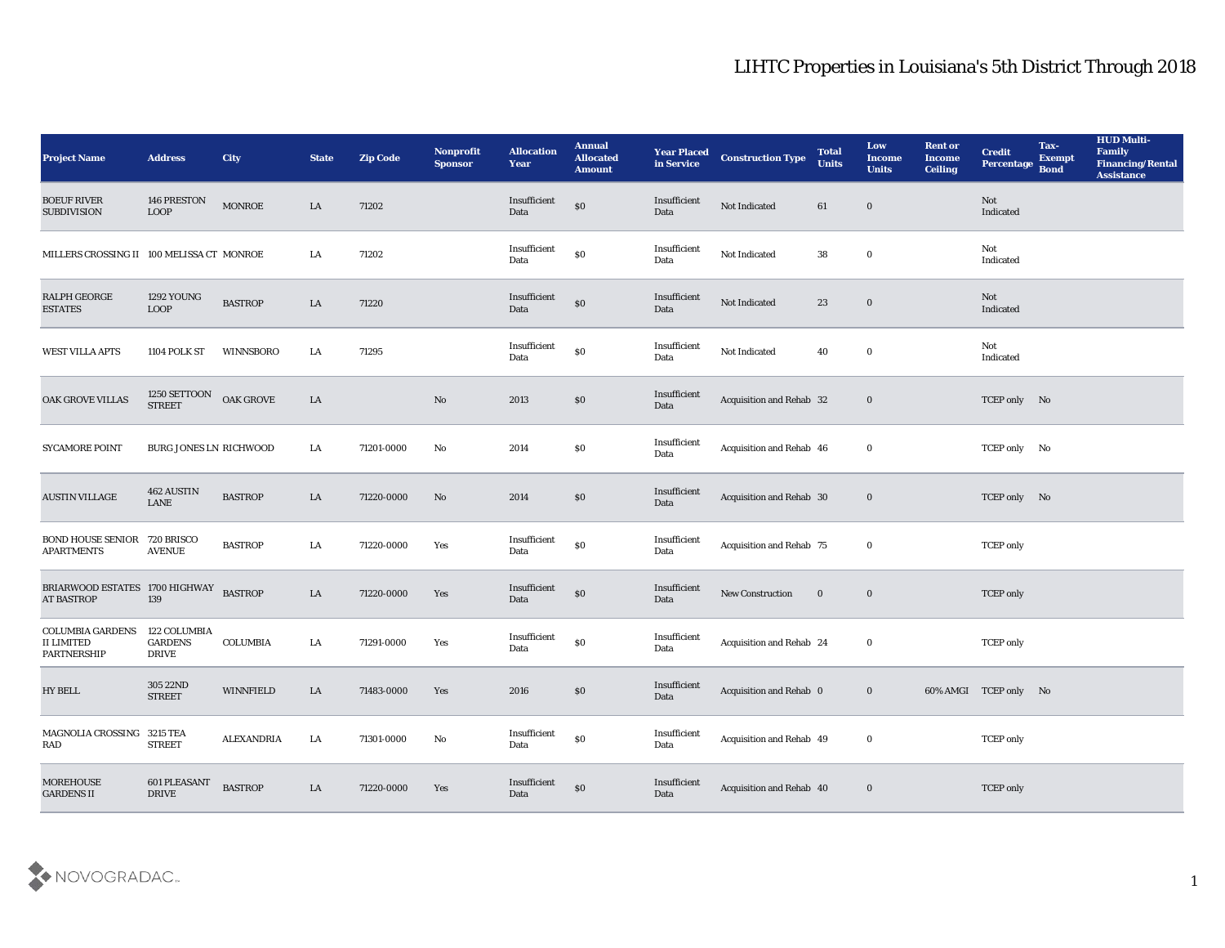| <b>Project Name</b>                                                | <b>Address</b>                                 | <b>City</b>       | <b>State</b> | <b>Zip Code</b> | Nonprofit<br><b>Sponsor</b> | <b>Allocation</b><br><b>Year</b>          | <b>Annual</b><br><b>Allocated</b><br><b>Amount</b> | <b>Year Placed</b><br>in Service | <b>Construction Type</b> | <b>Total</b><br><b>Units</b> | Low<br><b>Income</b><br><b>Units</b> | <b>Rent or</b><br><b>Income</b><br><b>Ceiling</b> | <b>Credit</b><br>Percentage | Tax-<br><b>Exempt</b><br><b>Bond</b> | <b>HUD Multi-</b><br>Family<br><b>Financing/Rental</b><br><b>Assistance</b> |
|--------------------------------------------------------------------|------------------------------------------------|-------------------|--------------|-----------------|-----------------------------|-------------------------------------------|----------------------------------------------------|----------------------------------|--------------------------|------------------------------|--------------------------------------|---------------------------------------------------|-----------------------------|--------------------------------------|-----------------------------------------------------------------------------|
| <b>BOEUF RIVER</b><br><b>SUBDIVISION</b>                           | 146 PRESTON<br><b>LOOP</b>                     | <b>MONROE</b>     | LA           | 71202           |                             | Insufficient<br>Data                      | $\$0$                                              | Insufficient<br>Data             | Not Indicated            | 61                           | $\bf{0}$                             |                                                   | Not<br>Indicated            |                                      |                                                                             |
| MILLERS CROSSING II 100 MELISSA CT MONROE                          |                                                |                   | LA           | 71202           |                             | Insufficient<br>Data                      | $\$0$                                              | Insufficient<br>Data             | Not Indicated            | 38                           | $\bf{0}$                             |                                                   | Not<br>Indicated            |                                      |                                                                             |
| RALPH GEORGE<br><b>ESTATES</b>                                     | <b>1292 YOUNG</b><br><b>LOOP</b>               | <b>BASTROP</b>    | LA           | 71220           |                             | Insufficient<br>Data                      | $\$0$                                              | Insufficient<br>Data             | Not Indicated            | 23                           | $\bf{0}$                             |                                                   | Not<br>Indicated            |                                      |                                                                             |
| <b>WEST VILLA APTS</b>                                             | 1104 POLK ST                                   | WINNSBORO         | LA           | 71295           |                             | Insufficient<br>Data                      | $\boldsymbol{\mathsf{S}}\boldsymbol{\mathsf{O}}$   | Insufficient<br>Data             | Not Indicated            | 40                           | $\bf{0}$                             |                                                   | Not<br>Indicated            |                                      |                                                                             |
| OAK GROVE VILLAS                                                   | 1250 SETTOON<br><b>STREET</b>                  | OAK GROVE         | LA           |                 | $\rm\thinspace No$          | 2013                                      | $\$0$                                              | Insufficient<br>Data             | Acquisition and Rehab 32 |                              | $\bf{0}$                             |                                                   | TCEP only No                |                                      |                                                                             |
| <b>SYCAMORE POINT</b>                                              | BURG JONES LN RICHWOOD                         |                   | LA           | 71201-0000      | No                          | 2014                                      | \$0                                                | Insufficient<br>Data             | Acquisition and Rehab 46 |                              | $\bf{0}$                             |                                                   | TCEP only No                |                                      |                                                                             |
| <b>AUSTIN VILLAGE</b>                                              | 462 AUSTIN<br>LANE                             | <b>BASTROP</b>    | LA           | 71220-0000      | No                          | 2014                                      | \$0                                                | Insufficient<br>Data             | Acquisition and Rehab 30 |                              | $\bf{0}$                             |                                                   | TCEP only No                |                                      |                                                                             |
| BOND HOUSE SENIOR 720 BRISCO<br><b>APARTMENTS</b>                  | <b>AVENUE</b>                                  | <b>BASTROP</b>    | LA           | 71220-0000      | Yes                         | Insufficient<br>Data                      | $\boldsymbol{\mathsf{S}}\boldsymbol{\mathsf{O}}$   | Insufficient<br>Data             | Acquisition and Rehab 75 |                              | $\bf{0}$                             |                                                   | <b>TCEP</b> only            |                                      |                                                                             |
| BRIARWOOD ESTATES 1700 HIGHWAY<br><b>AT BASTROP</b>                | 139                                            | <b>BASTROP</b>    | LA           | 71220-0000      | Yes                         | Insufficient<br>Data                      | $\$0$                                              | Insufficient<br>Data             | New Construction         | $\bf{0}$                     | $\bf{0}$                             |                                                   | <b>TCEP</b> only            |                                      |                                                                             |
| <b>COLUMBIA GARDENS</b><br><b>II LIMITED</b><br><b>PARTNERSHIP</b> | 122 COLUMBIA<br><b>GARDENS</b><br><b>DRIVE</b> | <b>COLUMBIA</b>   | LA           | 71291-0000      | Yes                         | Insufficient<br>Data                      | $\$0$                                              | Insufficient<br>Data             | Acquisition and Rehab 24 |                              | $\bf{0}$                             |                                                   | <b>TCEP</b> only            |                                      |                                                                             |
| <b>HY BELL</b>                                                     | 305 22ND<br><b>STREET</b>                      | WINNFIELD         | LA           | 71483-0000      | Yes                         | 2016                                      | \$0                                                | Insufficient<br>Data             | Acquisition and Rehab 0  |                              | $\bf{0}$                             |                                                   | 60% AMGI TCEP only No       |                                      |                                                                             |
| MAGNOLIA CROSSING 3215 TEA<br><b>RAD</b>                           | <b>STREET</b>                                  | <b>ALEXANDRIA</b> | LA           | 71301-0000      | $\rm\thinspace No$          | $\label{lem:inert} In sufficient$<br>Data | $\boldsymbol{\mathsf{S}}\boldsymbol{\mathsf{O}}$   | Insufficient<br>Data             | Acquisition and Rehab 49 |                              | $\mathbf 0$                          |                                                   | <b>TCEP</b> only            |                                      |                                                                             |
| <b>MOREHOUSE</b><br><b>GARDENS II</b>                              | <b>601 PLEASANT</b><br><b>DRIVE</b>            | <b>BASTROP</b>    | ${\rm LA}$   | 71220-0000      | Yes                         | Insufficient<br>Data                      | $\$0$                                              | Insufficient<br>Data             | Acquisition and Rehab 40 |                              | $\bf{0}$                             |                                                   | <b>TCEP</b> only            |                                      |                                                                             |

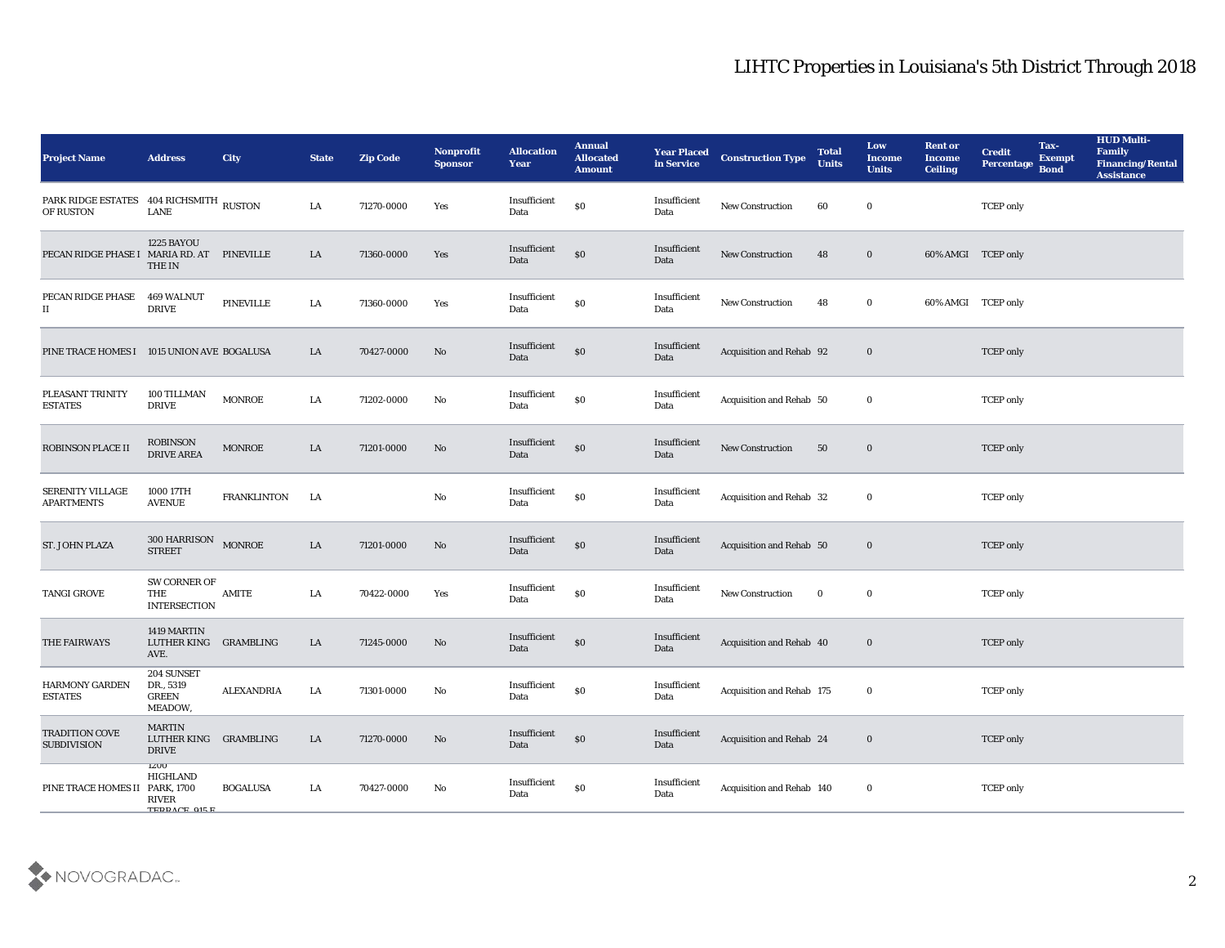| <b>Project Name</b>                                  | <b>Address</b>                                                  | City               | <b>State</b> | <b>Zip Code</b> | Nonprofit<br><b>Sponsor</b> | <b>Allocation</b><br><b>Year</b> | <b>Annual</b><br><b>Allocated</b><br><b>Amount</b> | <b>Year Placed</b><br>in Service | <b>Construction Type</b>  | <b>Total</b><br><b>Units</b> | Low<br>Income<br><b>Units</b> | <b>Rent or</b><br>Income<br><b>Ceiling</b> | <b>Credit</b><br>Percentage | Tax-<br><b>Exempt</b><br><b>Bond</b> | <b>HUD Multi-</b><br>Family<br><b>Financing/Rental</b><br><b>Assistance</b> |
|------------------------------------------------------|-----------------------------------------------------------------|--------------------|--------------|-----------------|-----------------------------|----------------------------------|----------------------------------------------------|----------------------------------|---------------------------|------------------------------|-------------------------------|--------------------------------------------|-----------------------------|--------------------------------------|-----------------------------------------------------------------------------|
| PARK RIDGE ESTATES 404 RICHSMITH RUSTON<br>OF RUSTON | <b>LANE</b>                                                     |                    | LA           | 71270-0000      | Yes                         | Insufficient<br>Data             | $\$0$                                              | Insufficient<br>Data             | New Construction          | 60                           | $\bf{0}$                      |                                            | <b>TCEP</b> only            |                                      |                                                                             |
| PECAN RIDGE PHASE I MARIA RD. AT                     | 1225 BAYOU<br><b>THE IN</b>                                     | <b>PINEVILLE</b>   | LA           | 71360-0000      | Yes                         | Insufficient<br>Data             | $\$0$                                              | Insufficient<br>Data             | <b>New Construction</b>   | 48                           | $\bf{0}$                      | 60% AMGI TCEP only                         |                             |                                      |                                                                             |
| PECAN RIDGE PHASE<br>П                               | <b>469 WALNUT</b><br><b>DRIVE</b>                               | PINEVILLE          | LA           | 71360-0000      | Yes                         | Insufficient<br>Data             | $\$0$                                              | Insufficient<br>Data             | <b>New Construction</b>   | 48                           | $\bf{0}$                      | 60% AMGI TCEP only                         |                             |                                      |                                                                             |
| PINE TRACE HOMES I                                   | 1015 UNION AVE BOGALUSA                                         |                    | LA           | 70427-0000      | No                          | Insufficient<br>Data             | $\$0$                                              | Insufficient<br>Data             | Acquisition and Rehab 92  |                              | $\bf{0}$                      |                                            | <b>TCEP</b> only            |                                      |                                                                             |
| PLEASANT TRINITY<br><b>ESTATES</b>                   | 100 TILLMAN<br><b>DRIVE</b>                                     | <b>MONROE</b>      | LA           | 71202-0000      | No                          | Insufficient<br>Data             | $\$0$                                              | Insufficient<br>Data             | Acquisition and Rehab 50  |                              | $\bf{0}$                      |                                            | <b>TCEP</b> only            |                                      |                                                                             |
| <b>ROBINSON PLACE II</b>                             | <b>ROBINSON</b><br><b>DRIVE AREA</b>                            | <b>MONROE</b>      | LA           | 71201-0000      | No                          | Insufficient<br>Data             | $\$0$                                              | Insufficient<br>Data             | <b>New Construction</b>   | 50                           | $\bf{0}$                      |                                            | <b>TCEP</b> only            |                                      |                                                                             |
| SERENITY VILLAGE<br><b>APARTMENTS</b>                | 1000 17TH<br><b>AVENUE</b>                                      | <b>FRANKLINTON</b> | LA           |                 | No                          | Insufficient<br>Data             | $\$0$                                              | Insufficient<br>Data             | Acquisition and Rehab 32  |                              | $\bf{0}$                      |                                            | <b>TCEP</b> only            |                                      |                                                                             |
| ST. JOHN PLAZA                                       | 300 HARRISON<br><b>STREET</b>                                   | <b>MONROE</b>      | LA           | 71201-0000      | No                          | Insufficient<br>Data             | $\$0$                                              | Insufficient<br>Data             | Acquisition and Rehab 50  |                              | $\bf{0}$                      |                                            | <b>TCEP</b> only            |                                      |                                                                             |
| <b>TANGI GROVE</b>                                   | SW CORNER OF<br>THE<br><b>INTERSECTION</b>                      | <b>AMITE</b>       | LA           | 70422-0000      | Yes                         | Insufficient<br>Data             | $\$0$                                              | Insufficient<br>Data             | <b>New Construction</b>   | $\bf{0}$                     | $\bf{0}$                      |                                            | <b>TCEP</b> only            |                                      |                                                                             |
| THE FAIRWAYS                                         | 1419 MARTIN<br>LUTHER KING<br>AVE.                              | GRAMBLING          | LA           | 71245-0000      | No                          | Insufficient<br>Data             | $\$0$                                              | Insufficient<br>Data             | Acquisition and Rehab 40  |                              | $\bf{0}$                      |                                            | <b>TCEP</b> only            |                                      |                                                                             |
| <b>HARMONY GARDEN</b><br><b>ESTATES</b>              | 204 SUNSET<br>DR., 5319<br><b>GREEN</b><br>MEADOW,              | <b>ALEXANDRIA</b>  | LA           | 71301-0000      | No                          | Insufficient<br>Data             | \$0                                                | Insufficient<br>Data             | Acquisition and Rehab 175 |                              | $\bf{0}$                      |                                            | <b>TCEP</b> only            |                                      |                                                                             |
| TRADITION COVE<br><b>SUBDIVISION</b>                 | <b>MARTIN</b><br>LUTHER KING GRAMBLING<br><b>DRIVE</b>          |                    | LA           | 71270-0000      | No                          | Insufficient<br>Data             | $\$0$                                              | Insufficient<br>Data             | Acquisition and Rehab 24  |                              | $\bf{0}$                      |                                            | <b>TCEP</b> only            |                                      |                                                                             |
| PINE TRACE HOMES II PARK, 1700                       | <b>IZUU</b><br><b>HIGHLAND</b><br><b>RIVER</b><br>TEDDACE 015 F | <b>BOGALUSA</b>    | ${\rm LA}$   | 70427-0000      | No                          | Insufficient<br>Data             | $\$0$                                              | Insufficient<br>Data             | Acquisition and Rehab 140 |                              | $\bf{0}$                      |                                            | <b>TCEP</b> only            |                                      |                                                                             |

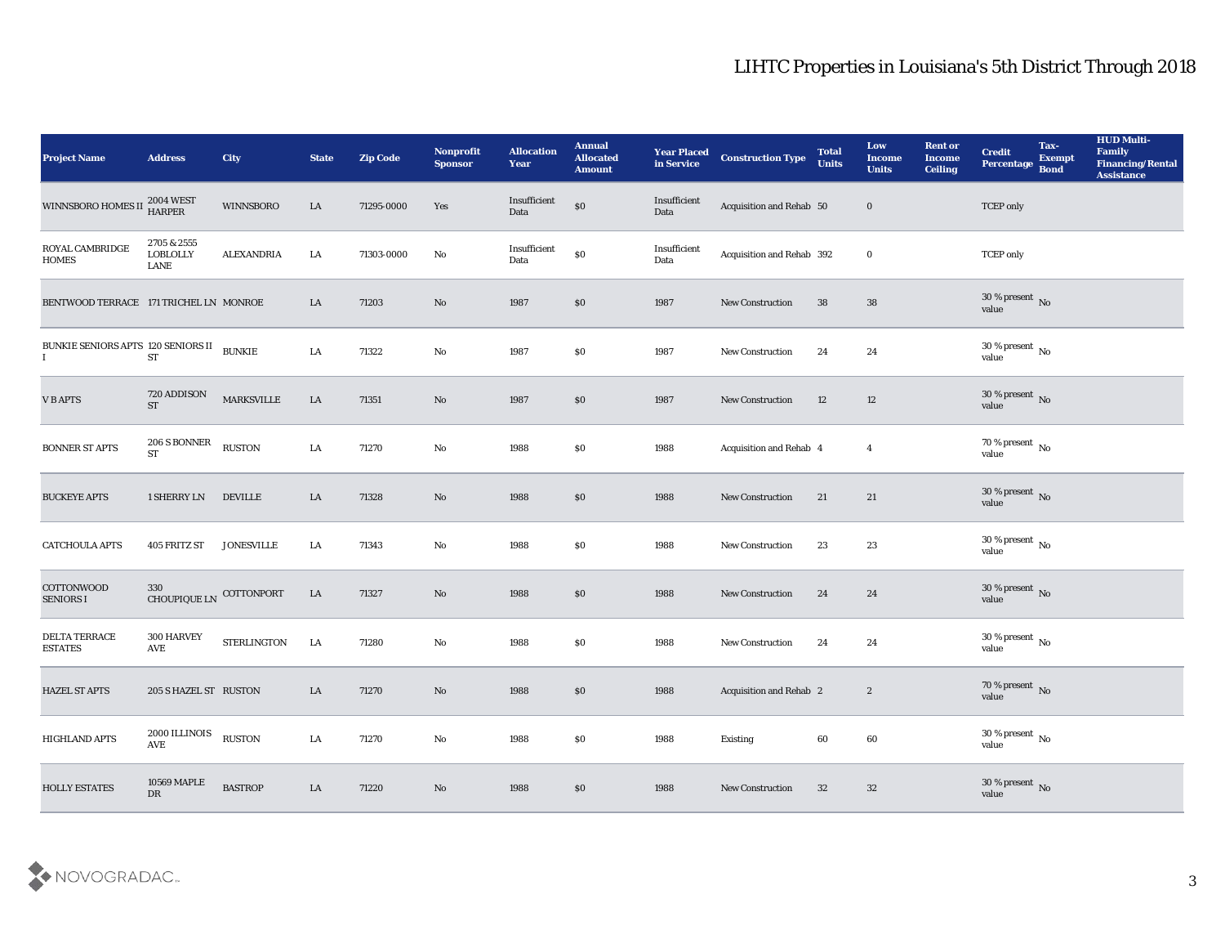| <b>Project Name</b>                            | <b>Address</b>                         | <b>City</b>        | <b>State</b> | <b>Zip Code</b> | Nonprofit<br><b>Sponsor</b> | <b>Allocation</b><br><b>Year</b> | <b>Annual</b><br><b>Allocated</b><br><b>Amount</b> | <b>Year Placed</b><br>in Service | <b>Construction Type</b>  | <b>Total</b><br><b>Units</b> | Low<br><b>Income</b><br><b>Units</b> | <b>Rent or</b><br><b>Income</b><br><b>Ceiling</b> | <b>Credit</b><br>Percentage    | Tax-<br><b>Exempt</b><br><b>Bond</b> | <b>HUD Multi-</b><br>Family<br><b>Financing/Rental</b><br><b>Assistance</b> |
|------------------------------------------------|----------------------------------------|--------------------|--------------|-----------------|-----------------------------|----------------------------------|----------------------------------------------------|----------------------------------|---------------------------|------------------------------|--------------------------------------|---------------------------------------------------|--------------------------------|--------------------------------------|-----------------------------------------------------------------------------|
| WINNSBORO HOMES II                             | $2004\mathrm{\,WEST}$ HARPER           | WINNSBORO          | LA           | 71295-0000      | Yes                         | Insufficient<br>$\mathbf{Data}$  | \$0                                                | Insufficient<br>Data             | Acquisition and Rehab 50  |                              | $\bf{0}$                             |                                                   | <b>TCEP</b> only               |                                      |                                                                             |
| ROYAL CAMBRIDGE<br><b>HOMES</b>                | 2705 & 2555<br><b>LOBLOLLY</b><br>LANE | <b>ALEXANDRIA</b>  | LA           | 71303-0000      | No                          | Insufficient<br>Data             | $\$0$                                              | Insufficient<br>Data             | Acquisition and Rehab 392 |                              | $\bf{0}$                             |                                                   | <b>TCEP</b> only               |                                      |                                                                             |
| BENTWOOD TERRACE 171 TRICHEL LN MONROE         |                                        |                    | LA           | 71203           | $\mathbf{N}\mathbf{o}$      | 1987                             | $\$0$                                              | 1987                             | <b>New Construction</b>   | 38                           | 38                                   |                                                   | $30\,\%$ present $\,$ No value |                                      |                                                                             |
| BUNKIE SENIORS APTS 120 SENIORS II<br>$\bf{I}$ | ST                                     | <b>BUNKIE</b>      | LA           | 71322           | $\rm\thinspace No$          | 1987                             | \$0                                                | 1987                             | <b>New Construction</b>   | 24                           | 24                                   |                                                   | $30\,\%$ present $\,$ No value |                                      |                                                                             |
| <b>VBAPTS</b>                                  | 720 ADDISON<br><b>ST</b>               | <b>MARKSVILLE</b>  | LA           | 71351           | No                          | 1987                             | \$0                                                | 1987                             | <b>New Construction</b>   | 12                           | 12                                   |                                                   | $30\,\%$ present $\,$ No value |                                      |                                                                             |
| <b>BONNER ST APTS</b>                          | 206 S BONNER<br><b>ST</b>              | <b>RUSTON</b>      | LA           | 71270           | $\rm\thinspace No$          | 1988                             | \$0                                                | 1988                             | Acquisition and Rehab 4   |                              | $\overline{4}$                       |                                                   | $70\,\%$ present $\,$ No value |                                      |                                                                             |
| <b>BUCKEYE APTS</b>                            | 1 SHERRY LN                            | <b>DEVILLE</b>     | LA           | 71328           | No                          | 1988                             | $\$0$                                              | 1988                             | New Construction          | 21                           | 21                                   |                                                   | $30\,\%$ present $\,$ No value |                                      |                                                                             |
| <b>CATCHOULA APTS</b>                          | 405 FRITZ ST                           | <b>JONESVILLE</b>  | LA           | 71343           | $\mathbf {No}$              | 1988                             | \$0                                                | 1988                             | <b>New Construction</b>   | 23                           | 23                                   |                                                   | $30\,\%$ present $\,$ No value |                                      |                                                                             |
| <b>COTTONWOOD</b><br><b>SENIORS I</b>          | 330<br><b>CHOUPIQUE LN</b>             | COTTONPORT         | LA           | 71327           | No                          | 1988                             | $\boldsymbol{\mathsf{S}}\boldsymbol{\mathsf{O}}$   | 1988                             | <b>New Construction</b>   | 24                           | 24                                   |                                                   | $30\,\%$ present $\,$ No value |                                      |                                                                             |
| DELTA TERRACE<br><b>ESTATES</b>                | 300 HARVEY<br>AVE                      | <b>STERLINGTON</b> | LA           | 71280           | $\rm\thinspace No$          | 1988                             | \$0                                                | 1988                             | New Construction          | 24                           | 24                                   |                                                   | $30\,\%$ present $\,$ No value |                                      |                                                                             |
| <b>HAZEL ST APTS</b>                           | 205 S HAZEL ST RUSTON                  |                    | LA           | 71270           | No                          | 1988                             | \$0                                                | 1988                             | Acquisition and Rehab 2   |                              | $\boldsymbol{2}$                     |                                                   | 70 % present No<br>value       |                                      |                                                                             |
| HIGHLAND APTS                                  | 2000 ILLINOIS<br>$\operatorname{AVE}$  | <b>RUSTON</b>      | ${\rm LA}$   | 71270           | $\mathbf {No}$              | 1988                             | \$0                                                | 1988                             | Existing                  | $\bf{60}$                    | $60\,$                               |                                                   | $30\,\%$ present $\,$ No value |                                      |                                                                             |
| <b>HOLLY ESTATES</b>                           | 10569 MAPLE<br>${\rm D}{\rm R}$        | <b>BASTROP</b>     | ${\rm LA}$   | 71220           | $\rm\thinspace No$          | 1988                             | $\$0$                                              | 1988                             | <b>New Construction</b>   | 32                           | 32                                   |                                                   | $30\,\%$ present $\,$ No value |                                      |                                                                             |

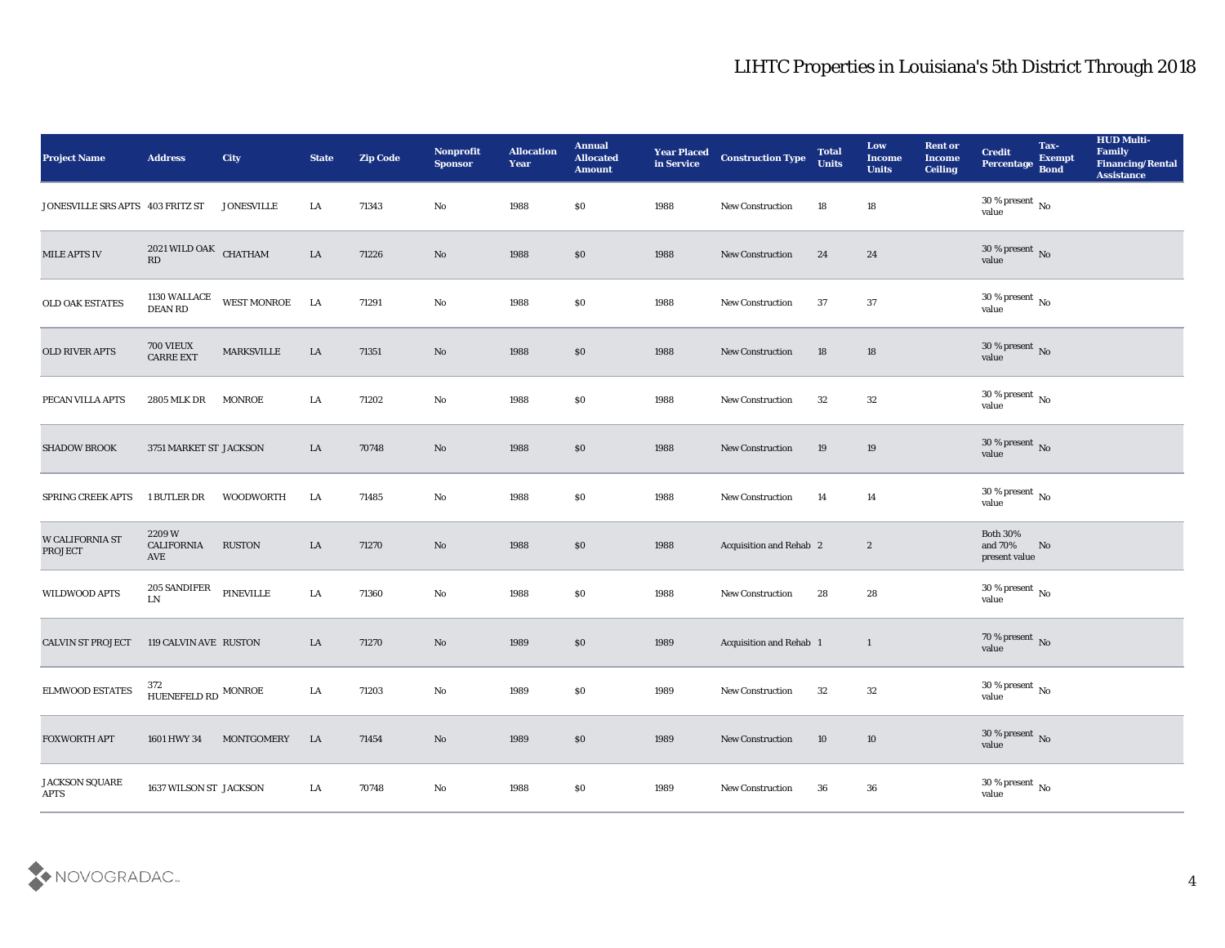| Project Name                      | <b>Address</b>                     | <b>City</b>        | <b>State</b> | <b>Zip Code</b> | Nonprofit<br><b>Sponsor</b> | <b>Allocation</b><br>Year | <b>Annual</b><br><b>Allocated</b><br><b>Amount</b> | <b>Year Placed</b><br>in Service | <b>Construction Type</b> | <b>Total</b><br><b>Units</b> | Low<br><b>Income</b><br><b>Units</b> | <b>Rent or</b><br><b>Income</b><br>Ceiling | <b>Credit</b><br>Percentage                 | Tax-<br><b>Exempt</b><br><b>Bond</b> | <b>HUD Multi-</b><br>Family<br><b>Financing/Rental</b><br><b>Assistance</b> |
|-----------------------------------|------------------------------------|--------------------|--------------|-----------------|-----------------------------|---------------------------|----------------------------------------------------|----------------------------------|--------------------------|------------------------------|--------------------------------------|--------------------------------------------|---------------------------------------------|--------------------------------------|-----------------------------------------------------------------------------|
| JONESVILLE SRS APTS 403 FRITZ ST  |                                    | <b>JONESVILLE</b>  | LA           | 71343           | No                          | 1988                      | $\$0$                                              | 1988                             | New Construction         | 18                           | 18                                   |                                            | 30 % present $\,$ No $\,$<br>value          |                                      |                                                                             |
| <b>MILE APTS IV</b>               | $2021$ WILD OAK $\,$ CHATHAM<br>RD |                    | LA           | 71226           | No                          | 1988                      | \$0                                                | 1988                             | <b>New Construction</b>  | 24                           | 24                                   |                                            | $30\,\%$ present $\,$ No value              |                                      |                                                                             |
| <b>OLD OAK ESTATES</b>            | 1130 WALLACE<br><b>DEAN RD</b>     | <b>WEST MONROE</b> | LA           | 71291           | No                          | 1988                      | \$0                                                | 1988                             | <b>New Construction</b>  | 37                           | 37                                   |                                            | $30\,\%$ present $\,$ No value              |                                      |                                                                             |
| OLD RIVER APTS                    | 700 VIEUX<br><b>CARRE EXT</b>      | <b>MARKSVILLE</b>  | ${\rm LA}$   | 71351           | $\mathbf{N}\mathbf{o}$      | 1988                      | \$0                                                | 1988                             | <b>New Construction</b>  | 18                           | 18                                   |                                            | $30\,\%$ present $\,$ No value              |                                      |                                                                             |
| PECAN VILLA APTS                  | 2805 MLK DR                        | <b>MONROE</b>      | LA           | 71202           | No                          | 1988                      | \$0                                                | 1988                             | <b>New Construction</b>  | 32                           | 32                                   |                                            | $30\,\%$ present $\,$ No value              |                                      |                                                                             |
| <b>SHADOW BROOK</b>               | 3751 MARKET ST JACKSON             |                    | LA           | 70748           | No                          | 1988                      | \$0                                                | 1988                             | <b>New Construction</b>  | 19                           | 19                                   |                                            | $30\,\%$ present $\,$ No value              |                                      |                                                                             |
| <b>SPRING CREEK APTS</b>          | 1 BUTLER DR                        | WOODWORTH          | LA           | 71485           | No                          | 1988                      | \$0                                                | 1988                             | <b>New Construction</b>  | 14                           | 14                                   |                                            | $30\,\%$ present $\,$ No value              |                                      |                                                                             |
| W CALIFORNIA ST<br><b>PROJECT</b> | 2209W<br>CALIFORNIA<br>AVE         | <b>RUSTON</b>      | LA           | 71270           | No                          | 1988                      | \$0                                                | 1988                             | Acquisition and Rehab 2  |                              | $\boldsymbol{2}$                     |                                            | <b>Both 30%</b><br>and 70%<br>present value | No                                   |                                                                             |
| <b>WILDWOOD APTS</b>              | 205 SANDIFER<br>${\rm LN}$         | PINEVILLE          | ${\rm LA}$   | 71360           | $\rm\thinspace No$          | 1988                      | $\$0$                                              | 1988                             | <b>New Construction</b>  | 28                           | 28                                   |                                            | $30\,\%$ present $\,$ No value              |                                      |                                                                             |
| <b>CALVIN ST PROJECT</b>          | 119 CALVIN AVE RUSTON              |                    | LA           | 71270           | No                          | 1989                      | \$0                                                | 1989                             | Acquisition and Rehab 1  |                              | $\mathbf{1}$                         |                                            | $70\,\%$ present $\,$ No value              |                                      |                                                                             |
| <b>ELMWOOD ESTATES</b>            | 372<br>HUENEFELD RD $\,$ MONROE    |                    | LA           | 71203           | No                          | 1989                      | \$0                                                | 1989                             | <b>New Construction</b>  | 32                           | 32                                   |                                            | 30 % present $\,$ No $\,$<br>value          |                                      |                                                                             |
| <b>FOXWORTH APT</b>               | 1601 HWY 34                        | MONTGOMERY         | LA           | 71454           | $\rm\thinspace No$          | 1989                      | $\$0$                                              | 1989                             | New Construction         | 10                           | $10\,$                               |                                            | $30\,\%$ present $\,$ No value              |                                      |                                                                             |
| JACKSON SQUARE<br>$\rm APTS$      | 1637 WILSON ST JACKSON             |                    | ${\rm LA}$   | 70748           | ${\bf No}$                  | 1988                      | $\$0$                                              | 1989                             | New Construction         | 36                           | ${\bf 36}$                           |                                            | $30\,\%$ present $\,$ No value              |                                      |                                                                             |

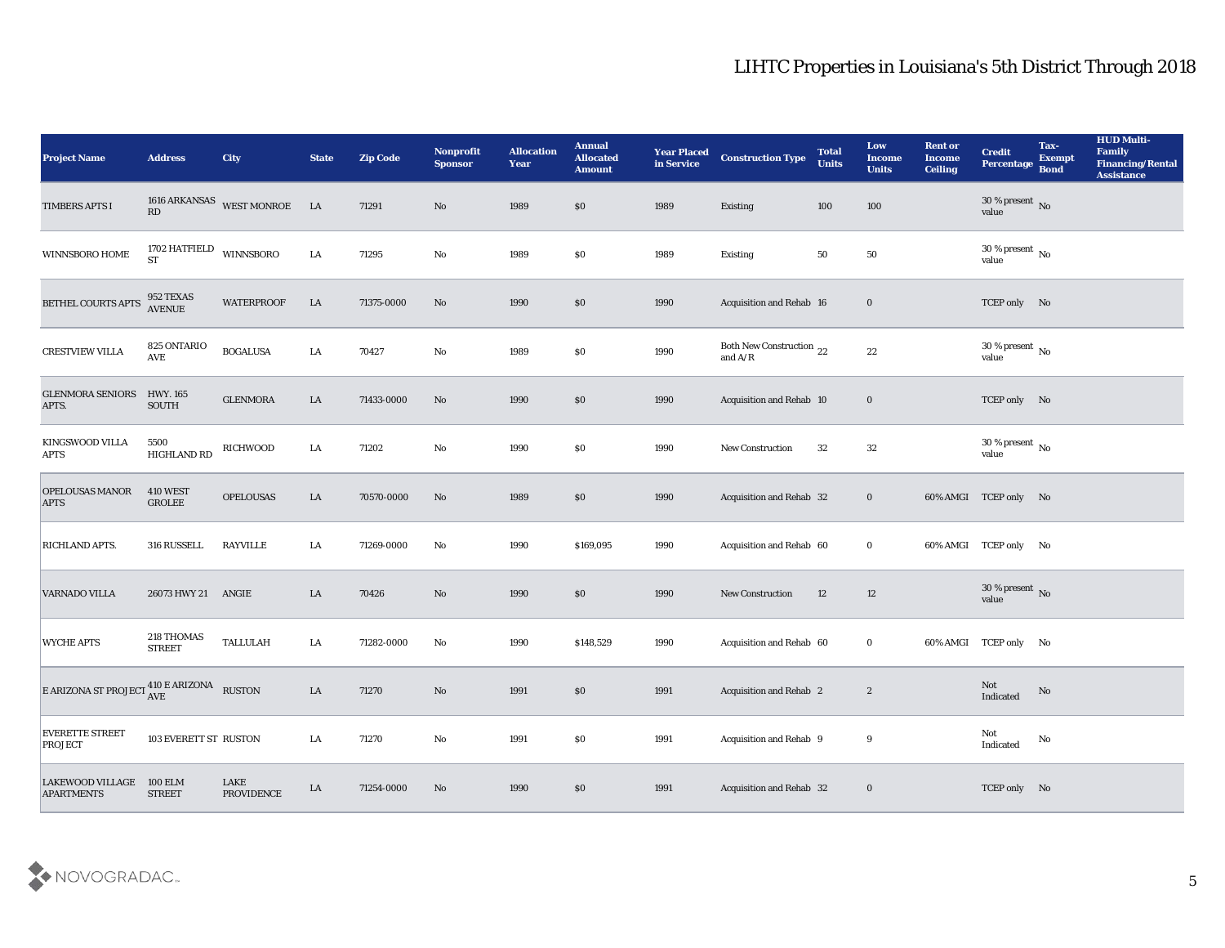| <b>Project Name</b>                                                 | <b>Address</b>                       | <b>City</b>                  | <b>State</b> | <b>Zip Code</b> | Nonprofit<br><b>Sponsor</b> | <b>Allocation</b><br><b>Year</b> | <b>Annual</b><br><b>Allocated</b><br><b>Amount</b> | <b>Year Placed</b><br>in Service | <b>Construction Type</b>              | <b>Total</b><br><b>Units</b> | Low<br><b>Income</b><br><b>Units</b> | <b>Rent or</b><br><b>Income</b><br><b>Ceiling</b> | <b>Credit</b><br>Percentage        | Tax-<br><b>Exempt</b><br><b>Bond</b> | <b>HUD Multi-</b><br>Family<br><b>Financing/Rental</b><br><b>Assistance</b> |
|---------------------------------------------------------------------|--------------------------------------|------------------------------|--------------|-----------------|-----------------------------|----------------------------------|----------------------------------------------------|----------------------------------|---------------------------------------|------------------------------|--------------------------------------|---------------------------------------------------|------------------------------------|--------------------------------------|-----------------------------------------------------------------------------|
| TIMBERS APTS I                                                      | RD                                   | 1616 ARKANSAS WEST MONROE LA |              | 71291           | No                          | 1989                             | $\$0$                                              | 1989                             | Existing                              | 100                          | 100                                  |                                                   | 30 % present No<br>value           |                                      |                                                                             |
| WINNSBORO HOME                                                      | 1702 HATFIELD WINNSBORO<br><b>ST</b> |                              | LA           | 71295           | No                          | 1989                             | \$0                                                | 1989                             | Existing                              | 50                           | 50                                   |                                                   | 30 % present $\,$ No $\,$<br>value |                                      |                                                                             |
| <b>BETHEL COURTS APTS</b>                                           | 952 TEXAS<br><b>AVENUE</b>           | <b>WATERPROOF</b>            | LA           | 71375-0000      | No                          | 1990                             | \$0                                                | 1990                             | Acquisition and Rehab 16              |                              | $\bf{0}$                             |                                                   | TCEP only No                       |                                      |                                                                             |
| <b>CRESTVIEW VILLA</b>                                              | 825 ONTARIO<br>AVE                   | <b>BOGALUSA</b>              | LA           | 70427           | No                          | 1989                             | $\$0$                                              | 1990                             | Both New Construction 22<br>and $A/R$ |                              | 22                                   |                                                   | $30\,\%$ present $\,$ No value     |                                      |                                                                             |
| <b>GLENMORA SENIORS</b><br>APTS.                                    | <b>HWY. 165</b><br><b>SOUTH</b>      | <b>GLENMORA</b>              | LA           | 71433-0000      | No                          | 1990                             | $\$0$                                              | 1990                             | Acquisition and Rehab 10              |                              | $\bf{0}$                             |                                                   | TCEP only No                       |                                      |                                                                             |
| KINGSWOOD VILLA<br><b>APTS</b>                                      | 5500<br>HIGHLAND RD                  | <b>RICHWOOD</b>              | LA           | 71202           | No                          | 1990                             | \$0                                                | 1990                             | <b>New Construction</b>               | 32                           | 32                                   |                                                   | 30 % present $\,$ No $\,$<br>value |                                      |                                                                             |
| <b>OPELOUSAS MANOR</b><br><b>APTS</b>                               | <b>410 WEST</b><br><b>GROLEE</b>     | <b>OPELOUSAS</b>             | LA           | 70570-0000      | No                          | 1989                             | $\$0$                                              | 1990                             | Acquisition and Rehab 32              |                              | $\bf{0}$                             |                                                   | 60% AMGI TCEP only No              |                                      |                                                                             |
| <b>RICHLAND APTS.</b>                                               | 316 RUSSELL                          | <b>RAYVILLE</b>              | LA           | 71269-0000      | No                          | 1990                             | \$169,095                                          | 1990                             | Acquisition and Rehab 60              |                              | $\bf{0}$                             |                                                   | 60% AMGI TCEP only No              |                                      |                                                                             |
| <b>VARNADO VILLA</b>                                                | 26073 HWY 21 ANGIE                   |                              | LA           | 70426           | No                          | 1990                             | $\$0$                                              | 1990                             | New Construction                      | 12                           | 12                                   |                                                   | $30\,\%$ present $\,$ No value     |                                      |                                                                             |
| <b>WYCHE APTS</b>                                                   | 218 THOMAS<br><b>STREET</b>          | <b>TALLULAH</b>              | LA           | 71282-0000      | No                          | 1990                             | \$148,529                                          | 1990                             | Acquisition and Rehab 60              |                              | $\bf{0}$                             |                                                   | 60% AMGI TCEP only No              |                                      |                                                                             |
| E ARIZONA ST PROJECT $_{\text{AVE}}^{410 \text{ E ARIZONA}}$ RUSTON |                                      |                              | LA           | 71270           | No                          | 1991                             | \$0                                                | 1991                             | Acquisition and Rehab 2               |                              | $\boldsymbol{2}$                     |                                                   | Not<br>Indicated                   | No                                   |                                                                             |
| <b>EVERETTE STREET</b><br><b>PROJECT</b>                            | 103 EVERETT ST RUSTON                |                              | LA           | 71270           | $\rm\thinspace No$          | 1991                             | $\$0$                                              | 1991                             | Acquisition and Rehab 9               |                              | 9                                    |                                                   | Not<br>Indicated                   | $\mathbf{N}\mathbf{o}$               |                                                                             |
| <b>LAKEWOOD VILLAGE</b><br><b>APARTMENTS</b>                        | <b>100 ELM</b><br><b>STREET</b>      | LAKE<br><b>PROVIDENCE</b>    | ${\rm LA}$   | 71254-0000      | No                          | 1990                             | $\$0$                                              | 1991                             | Acquisition and Rehab 32              |                              | $\bf{0}$                             |                                                   | TCEP only No                       |                                      |                                                                             |

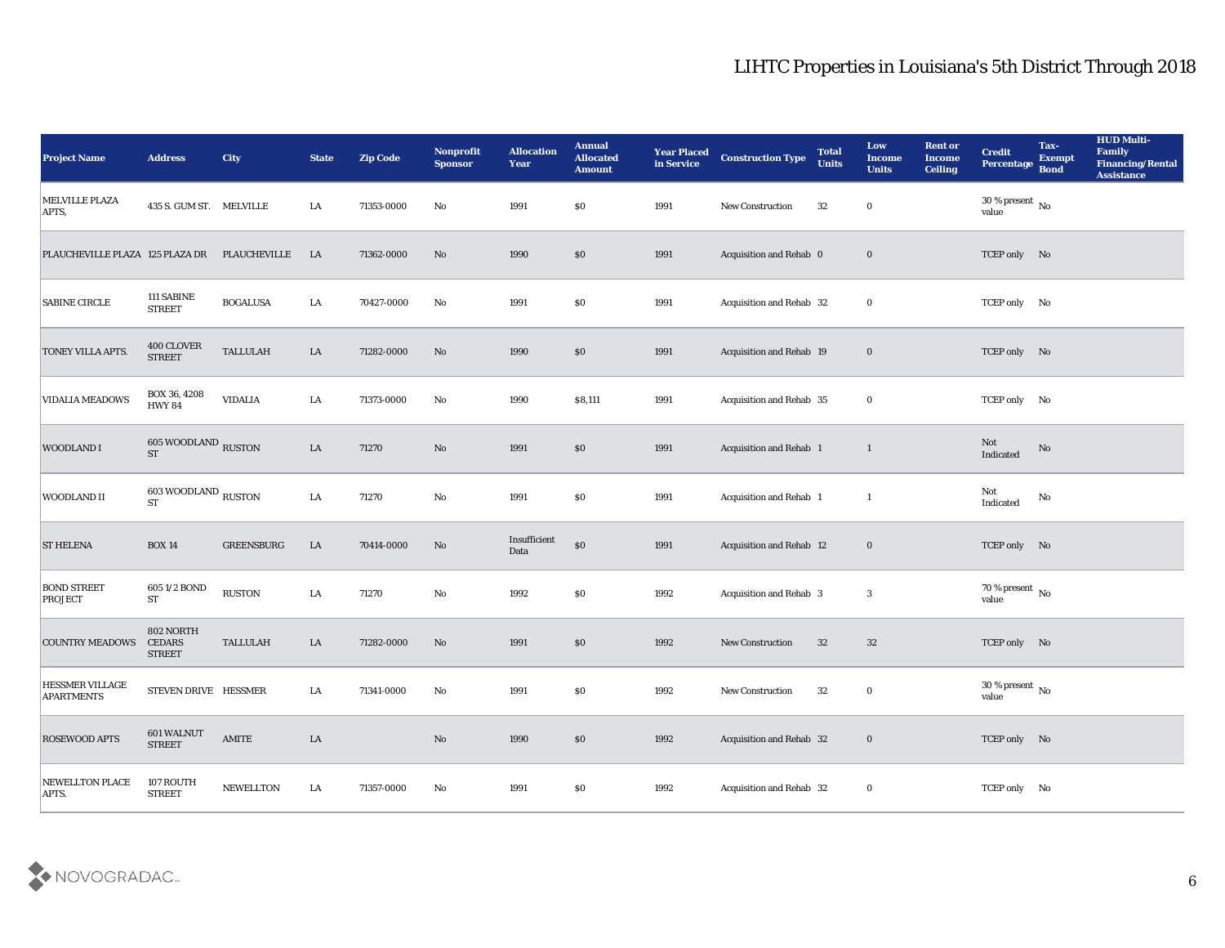| <b>Project Name</b>                  | <b>Address</b>                               | <b>City</b>       | <b>State</b> | <b>Zip Code</b> | Nonprofit<br><b>Sponsor</b> | <b>Allocation</b><br><b>Year</b> | <b>Annual</b><br><b>Allocated</b><br><b>Amount</b> | <b>Year Placed</b><br>in Service | <b>Construction Type</b> | <b>Total</b><br><b>Units</b> | Low<br><b>Income</b><br><b>Units</b> | <b>Rent or</b><br><b>Income</b><br><b>Ceiling</b> | <b>Credit</b><br>Percentage            | Tax-<br><b>Exempt</b><br><b>Bond</b> | <b>HUD Multi-</b><br>Family<br><b>Financing/Rental</b><br><b>Assistance</b> |
|--------------------------------------|----------------------------------------------|-------------------|--------------|-----------------|-----------------------------|----------------------------------|----------------------------------------------------|----------------------------------|--------------------------|------------------------------|--------------------------------------|---------------------------------------------------|----------------------------------------|--------------------------------------|-----------------------------------------------------------------------------|
| <b>MELVILLE PLAZA</b><br>APTS,       | 435 S. GUM ST. MELVILLE                      |                   | LA           | 71353-0000      | No                          | 1991                             | $\$0$                                              | 1991                             | New Construction         | 32                           | $\bf{0}$                             |                                                   | 30 % present $\overline{N_0}$<br>value |                                      |                                                                             |
| PLAUCHEVILLE PLAZA 125 PLAZA DR      |                                              | PLAUCHEVILLE      | LA           | 71362-0000      | No                          | 1990                             | $\$0$                                              | 1991                             | Acquisition and Rehab 0  |                              | $\bf{0}$                             |                                                   | TCEP only No                           |                                      |                                                                             |
| <b>SABINE CIRCLE</b>                 | 111 SABINE<br><b>STREET</b>                  | <b>BOGALUSA</b>   | LA           | 70427-0000      | No                          | 1991                             | \$0                                                | 1991                             | Acquisition and Rehab 32 |                              | $\bf{0}$                             |                                                   | TCEP only No                           |                                      |                                                                             |
| TONEY VILLA APTS.                    | 400 CLOVER<br><b>STREET</b>                  | <b>TALLULAH</b>   | LA           | 71282-0000      | No                          | 1990                             | \$0\$                                              | 1991                             | Acquisition and Rehab 19 |                              | $\bf{0}$                             |                                                   | TCEP only No                           |                                      |                                                                             |
| <b>VIDALIA MEADOWS</b>               | BOX 36, 4208<br><b>HWY 84</b>                | <b>VIDALIA</b>    | LA           | 71373-0000      | No                          | 1990                             | \$8,111                                            | 1991                             | Acquisition and Rehab 35 |                              | $\bf{0}$                             |                                                   | TCEP only No                           |                                      |                                                                             |
| <b>WOODLAND I</b>                    | $605\,$ WOODLAND $_{\rm RUSTON}$ $_{\rm ST}$ |                   | ${\rm LA}$   | 71270           | No                          | 1991                             | $\$0$                                              | 1991                             | Acquisition and Rehab 1  |                              | $\mathbf{1}$                         |                                                   | Not<br>Indicated                       | No                                   |                                                                             |
| WOODLAND II                          | 603 WOODLAND RUSTON<br><b>ST</b>             |                   | LA           | 71270           | No                          | 1991                             | $\$0$                                              | 1991                             | Acquisition and Rehab 1  |                              | -1                                   |                                                   | Not<br>Indicated                       | No                                   |                                                                             |
| <b>ST HELENA</b>                     | <b>BOX 14</b>                                | <b>GREENSBURG</b> | LA           | 70414-0000      | No                          | Insufficient<br>Data             | $\$0$                                              | 1991                             | Acquisition and Rehab 12 |                              | $\bf{0}$                             |                                                   | TCEP only No                           |                                      |                                                                             |
| <b>BOND STREET</b><br><b>PROJECT</b> | 605 1/2 BOND<br>${\cal ST}$                  | <b>RUSTON</b>     | LA           | 71270           | $\mathbf{No}$               | 1992                             | \$0\$                                              | 1992                             | Acquisition and Rehab 3  |                              | 3                                    |                                                   | 70 % present $\,$ No $\,$<br>value     |                                      |                                                                             |
| <b>COUNTRY MEADOWS</b>               | 802 NORTH<br><b>CEDARS</b><br><b>STREET</b>  | <b>TALLULAH</b>   | LA           | 71282-0000      | No                          | 1991                             | $\$0$                                              | 1992                             | <b>New Construction</b>  | 32                           | 32                                   |                                                   | TCEP only No                           |                                      |                                                                             |
| HESSMER VILLAGE<br><b>APARTMENTS</b> | STEVEN DRIVE HESSMER                         |                   | LA           | 71341-0000      | No                          | 1991                             | $\$0$                                              | 1992                             | <b>New Construction</b>  | 32                           | $\bf{0}$                             |                                                   | 30 % present $\,$ No $\,$<br>value     |                                      |                                                                             |
| <b>ROSEWOOD APTS</b>                 | 601 WALNUT<br><b>STREET</b>                  | $\mathbf{AMITE}$  | ${\rm LA}$   |                 | $\mathbf {No}$              | 1990                             | $\$0$                                              | 1992                             | Acquisition and Rehab 32 |                              | $\bf{0}$                             |                                                   | TCEP only No                           |                                      |                                                                             |
| <b>NEWELLTON PLACE</b><br>APTS.      | 107 ROUTH<br><b>STREET</b>                   | NEWELLTON         | LA           | 71357-0000      | $\mathbf {No}$              | 1991                             | $\$0$                                              | 1992                             | Acquisition and Rehab 32 |                              | $\mathbf 0$                          |                                                   | TCEP only No                           |                                      |                                                                             |

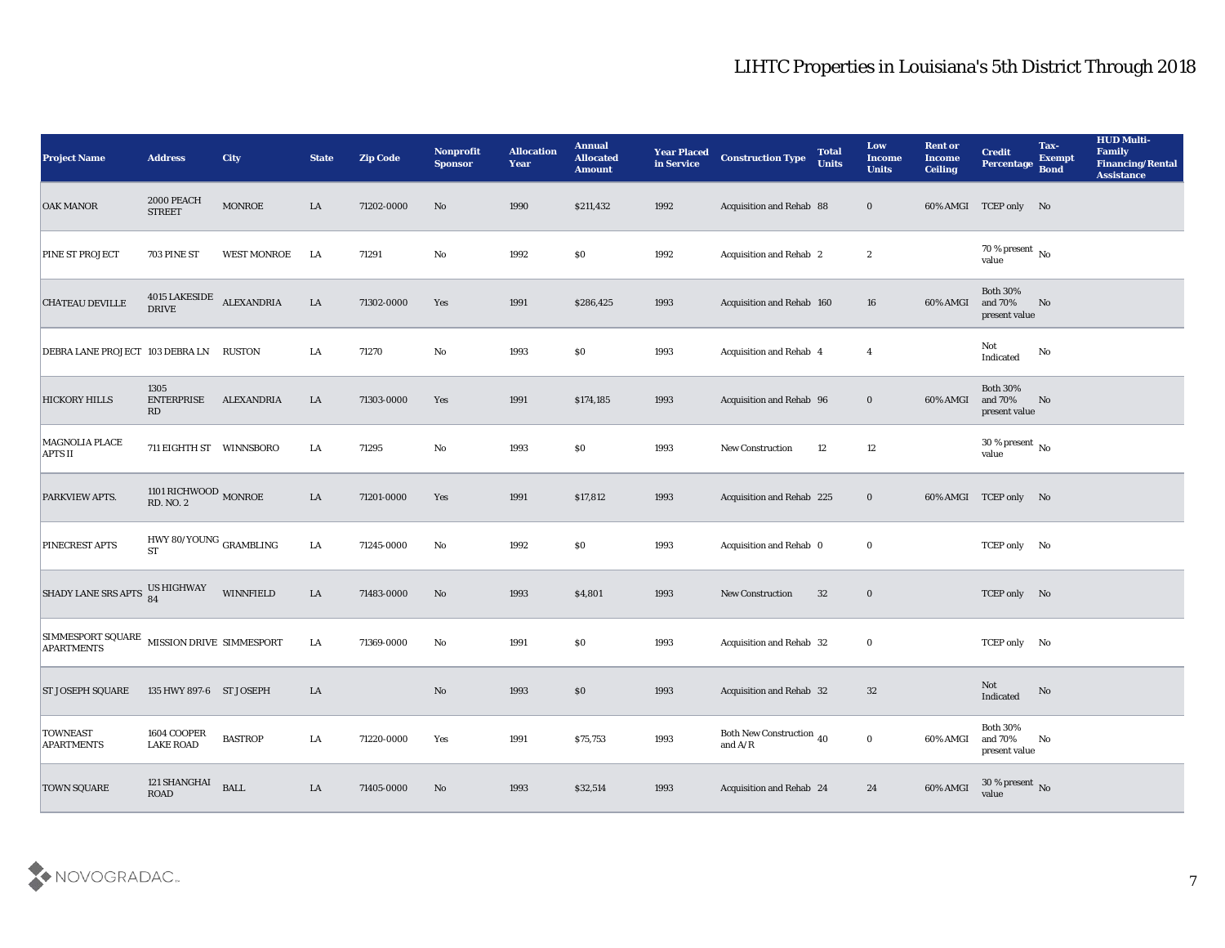| <b>Project Name</b>                                             | <b>Address</b>                               | <b>City</b>        | <b>State</b> | <b>Zip Code</b> | Nonprofit<br><b>Sponsor</b> | <b>Allocation</b><br><b>Year</b> | <b>Annual</b><br><b>Allocated</b><br><b>Amount</b> | <b>Year Placed</b><br>in Service | <b>Construction Type</b>                                                          | <b>Total</b><br><b>Units</b> | Low<br><b>Income</b><br><b>Units</b> | <b>Rent or</b><br><b>Income</b><br><b>Ceiling</b> | <b>Credit</b><br><b>Percentage</b>          | Tax-<br><b>Exempt</b><br><b>Bond</b> | <b>HUD Multi-</b><br>Family<br><b>Financing/Rental</b><br><b>Assistance</b> |
|-----------------------------------------------------------------|----------------------------------------------|--------------------|--------------|-----------------|-----------------------------|----------------------------------|----------------------------------------------------|----------------------------------|-----------------------------------------------------------------------------------|------------------------------|--------------------------------------|---------------------------------------------------|---------------------------------------------|--------------------------------------|-----------------------------------------------------------------------------|
| <b>OAK MANOR</b>                                                | 2000 PEACH<br><b>STREET</b>                  | <b>MONROE</b>      | LA           | 71202-0000      | No                          | 1990                             | \$211,432                                          | 1992                             | Acquisition and Rehab 88                                                          |                              | $\bf{0}$                             |                                                   | 60% AMGI TCEP only No                       |                                      |                                                                             |
| PINE ST PROJECT                                                 | 703 PINE ST                                  | <b>WEST MONROE</b> | LA           | 71291           | No                          | 1992                             | $\$0$                                              | 1992                             | Acquisition and Rehab 2                                                           |                              | $\boldsymbol{2}$                     |                                                   | 70 % present $\,$ No $\,$<br>value          |                                      |                                                                             |
| <b>CHATEAU DEVILLE</b>                                          | 4015 LAKESIDE ALEXANDRIA<br><b>DRIVE</b>     |                    | ${\rm LA}$   | 71302-0000      | Yes                         | 1991                             | \$286,425                                          | 1993                             | Acquisition and Rehab 160                                                         |                              | 16                                   | 60% AMGI                                          | <b>Both 30%</b><br>and 70%<br>present value | No                                   |                                                                             |
| DEBRA LANE PROJECT 103 DEBRA LN RUSTON                          |                                              |                    | LA           | 71270           | No                          | 1993                             | $\$0$                                              | 1993                             | Acquisition and Rehab 4                                                           |                              | $\overline{4}$                       |                                                   | Not<br>Indicated                            | No                                   |                                                                             |
| <b>HICKORY HILLS</b>                                            | 1305<br><b>ENTERPRISE</b><br>RD              | <b>ALEXANDRIA</b>  | LA           | 71303-0000      | Yes                         | 1991                             | \$174,185                                          | 1993                             | Acquisition and Rehab 96                                                          |                              | $\bf{0}$                             | 60% AMGI                                          | <b>Both 30%</b><br>and 70%<br>present value | No                                   |                                                                             |
| MAGNOLIA PLACE<br><b>APTS II</b>                                | 711 EIGHTH ST WINNSBORO                      |                    | LA           | 71295           | No                          | 1993                             | $\$0$                                              | 1993                             | <b>New Construction</b>                                                           | 12                           | 12                                   |                                                   | $30\,\%$ present $\,$ No $\,$<br>value      |                                      |                                                                             |
| PARKVIEW APTS.                                                  | 1101 RICHWOOD $_{\rm MONROE}$ RD. NO. 2      |                    | LA           | 71201-0000      | Yes                         | 1991                             | \$17,812                                           | 1993                             | Acquisition and Rehab 225                                                         |                              | $\bf{0}$                             |                                                   | 60% AMGI TCEP only No                       |                                      |                                                                             |
| PINECREST APTS                                                  | HWY 80/YOUNG $_{\rm GRAMBLING}$<br><b>ST</b> |                    | ${\rm LA}$   | 71245-0000      | No                          | 1992                             | $\$0$                                              | 1993                             | Acquisition and Rehab 0                                                           |                              | $\bf{0}$                             |                                                   | TCEP only No                                |                                      |                                                                             |
| <b>SHADY LANE SRS APTS</b>                                      | US HIGHWAY<br>84                             | WINNFIELD          | LA           | 71483-0000      | No                          | 1993                             | \$4,801                                            | 1993                             | New Construction                                                                  | 32                           | $\bf{0}$                             |                                                   | TCEP only No                                |                                      |                                                                             |
| SIMMESPORT SQUARE MISSION DRIVE SIMMESPORT<br><b>APARTMENTS</b> |                                              |                    | LA           | 71369-0000      | No                          | 1991                             | $\$0$                                              | 1993                             | Acquisition and Rehab 32                                                          |                              | $\bf{0}$                             |                                                   | TCEP only No                                |                                      |                                                                             |
| <b>ST JOSEPH SQUARE</b>                                         | 135 HWY 897-6 ST JOSEPH                      |                    | LA           |                 | No                          | 1993                             | $\$0$                                              | 1993                             | Acquisition and Rehab 32                                                          |                              | 32                                   |                                                   | Not<br>Indicated                            | No                                   |                                                                             |
| <b>TOWNEAST</b><br><b>APARTMENTS</b>                            | 1604 COOPER<br><b>LAKE ROAD</b>              | <b>BASTROP</b>     | LA           | 71220-0000      | Yes                         | 1991                             | \$75,753                                           | 1993                             | Both New Construction 40<br>and $\ensuremath{\mathrm{A}}/\ensuremath{\mathrm{R}}$ |                              | $\bf{0}$                             | 60% AMGI                                          | Both $30\%$<br>and $70\%$<br>present value  | $\mathbf{N}\mathbf{o}$               |                                                                             |
| <b>TOWN SQUARE</b>                                              | 121 SHANGHAI<br><b>ROAD</b>                  | <b>BALL</b>        | ${\rm LA}$   | 71405-0000      | No                          | 1993                             | \$32,514                                           | 1993                             | Acquisition and Rehab 24                                                          |                              | 24                                   | 60% AMGI                                          | 30 % present $\,$ No $\,$<br>value          |                                      |                                                                             |

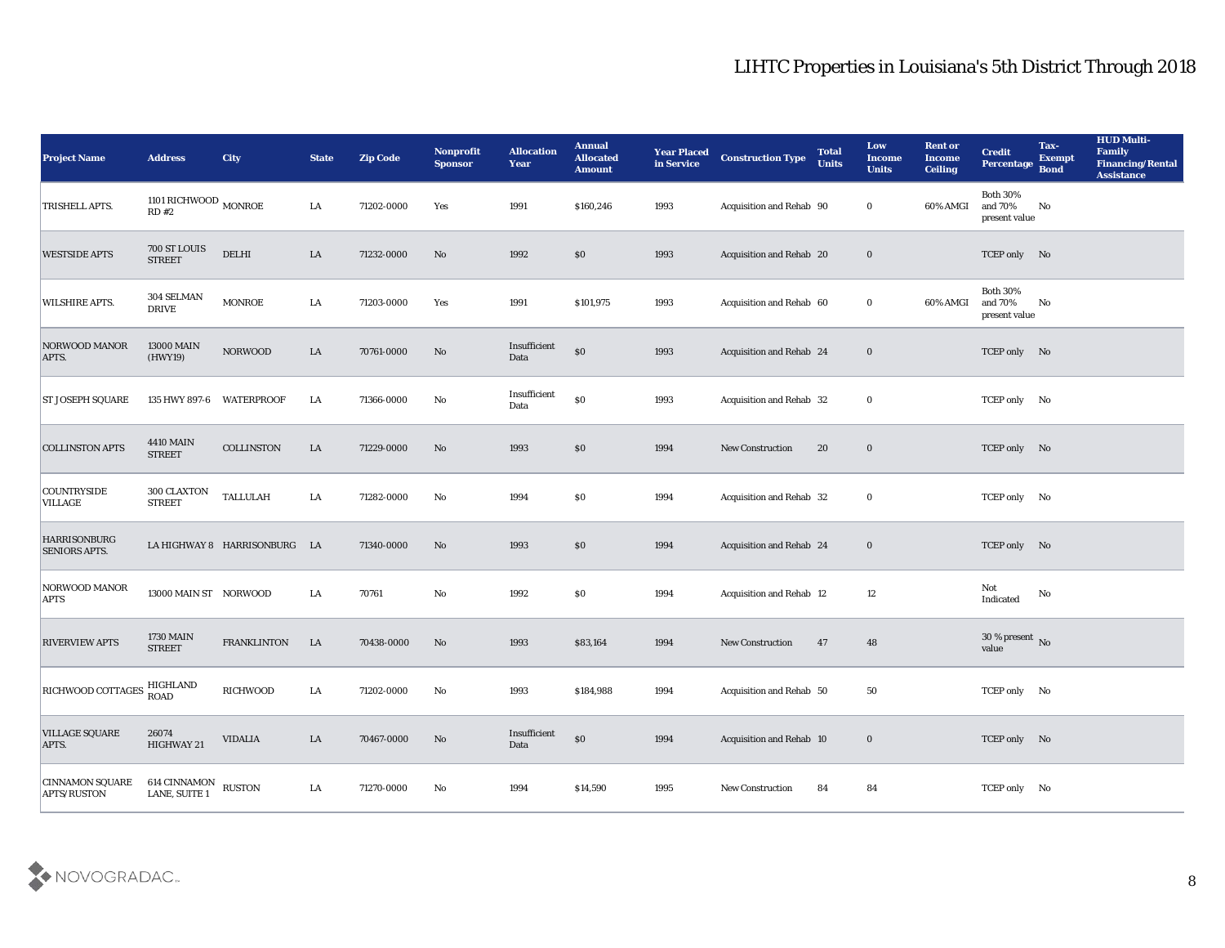| <b>Project Name</b>                         | <b>Address</b>                           | City                         | <b>State</b> | <b>Zip Code</b> | Nonprofit<br><b>Sponsor</b> | <b>Allocation</b><br><b>Year</b> | <b>Annual</b><br><b>Allocated</b><br><b>Amount</b> | <b>Year Placed</b><br>in Service | <b>Construction Type</b> | <b>Total</b><br><b>Units</b> | Low<br><b>Income</b><br><b>Units</b> | <b>Rent or</b><br><b>Income</b><br><b>Ceiling</b> | <b>Credit</b><br>Percentage                 | Tax-<br><b>Exempt</b><br><b>Bond</b> | <b>HUD Multi-</b><br>Family<br><b>Financing/Rental</b><br><b>Assistance</b> |
|---------------------------------------------|------------------------------------------|------------------------------|--------------|-----------------|-----------------------------|----------------------------------|----------------------------------------------------|----------------------------------|--------------------------|------------------------------|--------------------------------------|---------------------------------------------------|---------------------------------------------|--------------------------------------|-----------------------------------------------------------------------------|
| TRISHELL APTS.                              | 1101 RICHWOOD $_{\rm MONROE}$<br>$RD$ #2 |                              | LA           | 71202-0000      | Yes                         | 1991                             | \$160,246                                          | 1993                             | Acquisition and Rehab 90 |                              | $\bf{0}$                             | 60% AMGI                                          | <b>Both 30%</b><br>and 70%<br>present value | No                                   |                                                                             |
| <b>WESTSIDE APTS</b>                        | 700 ST LOUIS<br><b>STREET</b>            | <b>DELHI</b>                 | LA           | 71232-0000      | No                          | 1992                             | $\$0$                                              | 1993                             | Acquisition and Rehab 20 |                              | $\bf{0}$                             |                                                   | TCEP only No                                |                                      |                                                                             |
| WILSHIRE APTS.                              | 304 SELMAN<br><b>DRIVE</b>               | MONROE                       | LA           | 71203-0000      | Yes                         | 1991                             | \$101,975                                          | 1993                             | Acquisition and Rehab 60 |                              | $\bf{0}$                             | 60% AMGI                                          | <b>Both 30%</b><br>and 70%<br>present value | No                                   |                                                                             |
| <b>NORWOOD MANOR</b><br>APTS.               | <b>13000 MAIN</b><br>(HWY19)             | <b>NORWOOD</b>               | LA           | 70761-0000      | No                          | Insufficient<br>Data             | $\$0$                                              | 1993                             | Acquisition and Rehab 24 |                              | $\bf{0}$                             |                                                   | TCEP only No                                |                                      |                                                                             |
| <b>ST JOSEPH SQUARE</b>                     | 135 HWY 897-6                            | WATERPROOF                   | LA           | 71366-0000      | No                          | Insufficient<br>Data             | $\$0$                                              | 1993                             | Acquisition and Rehab 32 |                              | $\bf{0}$                             |                                                   | TCEP only No                                |                                      |                                                                             |
| <b>COLLINSTON APTS</b>                      | <b>4410 MAIN</b><br><b>STREET</b>        | COLLINSTON                   | LA           | 71229-0000      | No                          | 1993                             | $\$0$                                              | 1994                             | <b>New Construction</b>  | 20                           | $\bf{0}$                             |                                                   | TCEP only No                                |                                      |                                                                             |
| <b>COUNTRYSIDE</b><br><b>VILLAGE</b>        | 300 CLAXTON<br><b>STREET</b>             | <b>TALLULAH</b>              | LA           | 71282-0000      | No                          | 1994                             | $\$0$                                              | 1994                             | Acquisition and Rehab 32 |                              | $\bf{0}$                             |                                                   | TCEP only No                                |                                      |                                                                             |
| <b>HARRISONBURG</b><br><b>SENIORS APTS.</b> |                                          | LA HIGHWAY 8 HARRISONBURG LA |              | 71340-0000      | No                          | 1993                             | \$0                                                | 1994                             | Acquisition and Rehab 24 |                              | $\bf{0}$                             |                                                   | TCEP only No                                |                                      |                                                                             |
| NORWOOD MANOR<br><b>APTS</b>                | 13000 MAIN ST NORWOOD                    |                              | LA           | 70761           | $\mathbf {No}$              | 1992                             | $\$0$                                              | 1994                             | Acquisition and Rehab 12 |                              | 12                                   |                                                   | Not<br>Indicated                            | No                                   |                                                                             |
| <b>RIVERVIEW APTS</b>                       | <b>1730 MAIN</b><br><b>STREET</b>        | <b>FRANKLINTON</b>           | LA           | 70438-0000      | No                          | 1993                             | \$83,164                                           | 1994                             | <b>New Construction</b>  | 47                           | 48                                   |                                                   | 30 % present $\bar{N}$ o<br>value           |                                      |                                                                             |
| <b>RICHWOOD COTTAGES</b>                    | HIGHLAND<br><b>ROAD</b>                  | <b>RICHWOOD</b>              | LA           | 71202-0000      | No                          | 1993                             | \$184,988                                          | 1994                             | Acquisition and Rehab 50 |                              | 50                                   |                                                   | TCEP only No                                |                                      |                                                                             |
| <b>VILLAGE SQUARE</b><br>APTS.              | 26074<br>HIGHWAY 21                      | <b>VIDALIA</b>               | ${\rm LA}$   | 70467-0000      | $\rm\thinspace No$          | Insufficient<br>Data             | $\$0$                                              | 1994                             | Acquisition and Rehab 10 |                              | $\bf{0}$                             |                                                   | TCEP only No                                |                                      |                                                                             |
| <b>CINNAMON SQUARE</b><br>APTS/RUSTON       | 614 CINNAMON<br>LANE, SUITE 1            | <b>RUSTON</b>                | ${\rm LA}$   | 71270-0000      | $\rm\thinspace No$          | 1994                             | \$14,590                                           | 1995                             | New Construction         | 84                           | 84                                   |                                                   | TCEP only No                                |                                      |                                                                             |

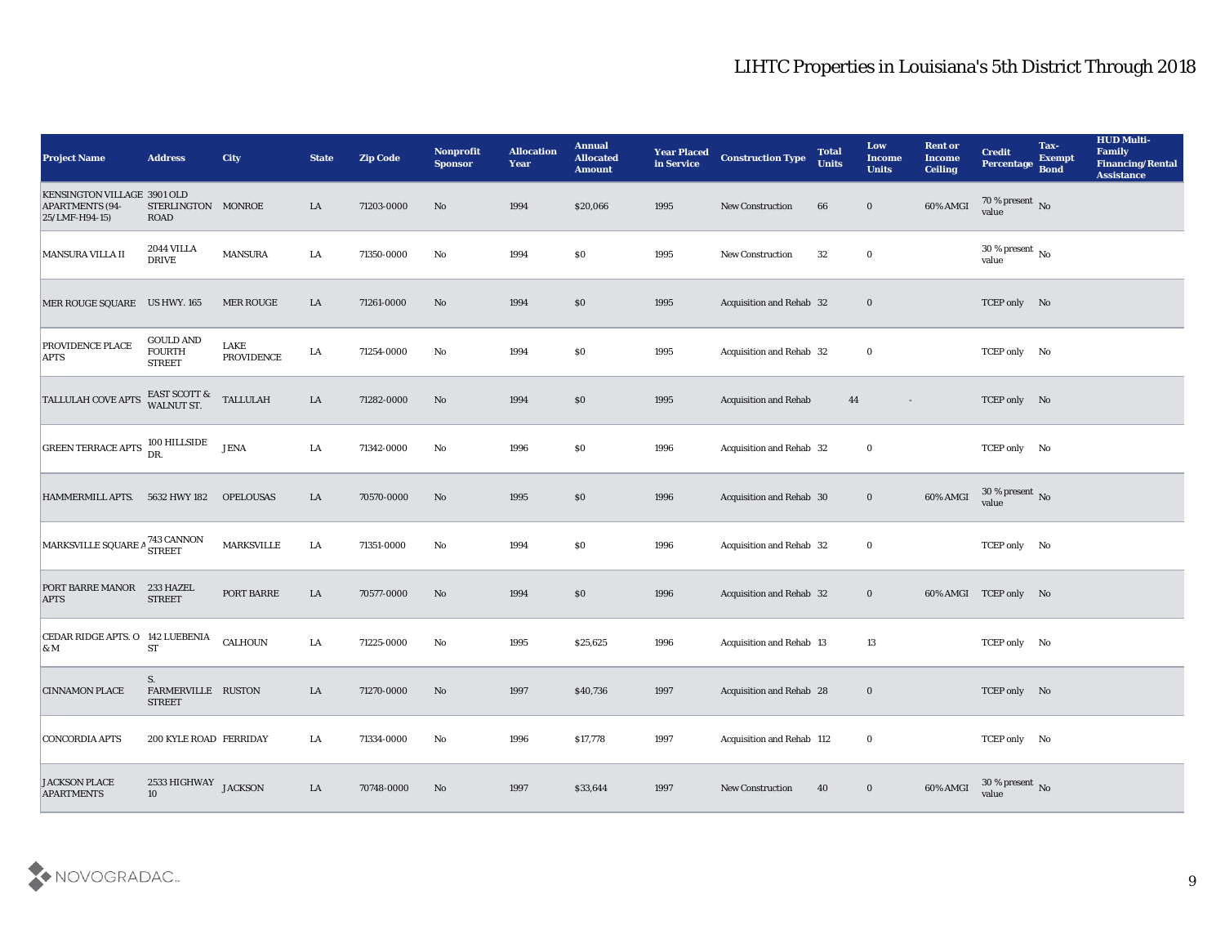| <b>Project Name</b>                                                     | <b>Address</b>                                     | <b>City</b>                | <b>State</b> | <b>Zip Code</b> | Nonprofit<br><b>Sponsor</b> | <b>Allocation</b><br><b>Year</b> | <b>Annual</b><br><b>Allocated</b><br><b>Amount</b> | <b>Year Placed</b><br>in Service | <b>Construction Type</b>        | <b>Total</b><br><b>Units</b> | Low<br><b>Income</b><br><b>Units</b> | <b>Rent or</b><br><b>Income</b><br><b>Ceiling</b> | <b>Credit</b><br>Percentage            | Tax-<br><b>Exempt</b><br><b>Bond</b> | <b>HUD Multi-</b><br>Family<br><b>Financing/Rental</b><br><b>Assistance</b> |
|-------------------------------------------------------------------------|----------------------------------------------------|----------------------------|--------------|-----------------|-----------------------------|----------------------------------|----------------------------------------------------|----------------------------------|---------------------------------|------------------------------|--------------------------------------|---------------------------------------------------|----------------------------------------|--------------------------------------|-----------------------------------------------------------------------------|
| KENSINGTON VILLAGE 3901 OLD<br><b>APARTMENTS (94-</b><br>25/LMF-H94-15) | STERLINGTON MONROE<br><b>ROAD</b>                  |                            | LA           | 71203-0000      | No                          | 1994                             | \$20,066                                           | 1995                             | <b>New Construction</b>         | 66                           | $\bf{0}$                             | 60% AMGI                                          | $70\,\%$ present $\,$ No value         |                                      |                                                                             |
| MANSURA VILLA II                                                        | <b>2044 VILLA</b><br><b>DRIVE</b>                  | <b>MANSURA</b>             | LA           | 71350-0000      | No                          | 1994                             | $\$0$                                              | 1995                             | New Construction                | 32                           | $\bf{0}$                             |                                                   | $30\,\%$ present $\,$ No $\,$<br>value |                                      |                                                                             |
| MER ROUGE SQUARE US HWY. 165                                            |                                                    | MER ROUGE                  | LA           | 71261-0000      | No                          | 1994                             | \$0                                                | 1995                             | Acquisition and Rehab 32        |                              | $\bf{0}$                             |                                                   | TCEP only No                           |                                      |                                                                             |
| PROVIDENCE PLACE<br><b>APTS</b>                                         | <b>GOULD AND</b><br><b>FOURTH</b><br><b>STREET</b> | LAKE<br>${\tt PROVIDENCE}$ | LA           | 71254-0000      | $\mathbf{N}\mathbf{o}$      | 1994                             | \$0\$                                              | 1995                             | Acquisition and Rehab 32        |                              | $\bf{0}$                             |                                                   | TCEP only No                           |                                      |                                                                             |
| <b>TALLULAH COVE APTS</b>                                               | EAST SCOTT & WALNUT ST.                            | <b>TALLULAH</b>            | LA           | 71282-0000      | No                          | 1994                             | \$0                                                | 1995                             | <b>Acquisition and Rehab</b>    | 44                           | $\sim$                               |                                                   | TCEP only No                           |                                      |                                                                             |
| GREEN TERRACE APTS 100 HILLSIDE                                         |                                                    | <b>JENA</b>                | LA           | 71342-0000      | No                          | 1996                             | \$0\$                                              | 1996                             | Acquisition and Rehab 32        |                              | $\bf{0}$                             |                                                   | TCEP only No                           |                                      |                                                                             |
| HAMMERMILL APTS. 5632 HWY 182                                           |                                                    | <b>OPELOUSAS</b>           | LA           | 70570-0000      | No                          | 1995                             | \$0                                                | 1996                             | Acquisition and Rehab 30        |                              | $\bf{0}$                             | 60% AMGI                                          | $30\,\%$ present $\,$ No value         |                                      |                                                                             |
| MARKSVILLE SQUARE A <sup>743 CANNON</sup>                               |                                                    | <b>MARKSVILLE</b>          | LA           | 71351-0000      | No                          | 1994                             | \$0\$                                              | 1996                             | Acquisition and Rehab 32        |                              | $\bf{0}$                             |                                                   | TCEP only No                           |                                      |                                                                             |
| PORT BARRE MANOR<br><b>APTS</b>                                         | 233 HAZEL<br><b>STREET</b>                         | PORT BARRE                 | LA           | 70577-0000      | No                          | 1994                             | \$0                                                | 1996                             | Acquisition and Rehab 32        |                              | $\bf{0}$                             |                                                   | 60% AMGI TCEP only No                  |                                      |                                                                             |
| CEDAR RIDGE APTS. O 142 LUEBENIA<br>$\alpha$ M                          | <b>ST</b>                                          | CALHOUN                    | LA           | 71225-0000      | No                          | 1995                             | \$25,625                                           | 1996                             | Acquisition and Rehab 13        |                              | 13                                   |                                                   | TCEP only No                           |                                      |                                                                             |
| <b>CINNAMON PLACE</b>                                                   | S.<br>FARMERVILLE RUSTON<br><b>STREET</b>          |                            | LA           | 71270-0000      | No                          | 1997                             | \$40,736                                           | 1997                             | <b>Acquisition and Rehab 28</b> |                              | $\bf{0}$                             |                                                   | TCEP only No                           |                                      |                                                                             |
| <b>CONCORDIA APTS</b>                                                   | 200 KYLE ROAD FERRIDAY                             |                            | ${\rm LA}$   | 71334-0000      | No                          | 1996                             | \$17,778                                           | 1997                             | Acquisition and Rehab 112       |                              | $\mathbf{0}$                         |                                                   | TCEP only No                           |                                      |                                                                             |
| <b>JACKSON PLACE</b><br><b>APARTMENTS</b>                               | $2533\,\mbox{HIGHWAY}$ JACKSON<br>10               |                            | ${\rm LA}$   | 70748-0000      | $\mathbf{N}\mathbf{o}$      | 1997                             | \$33,644                                           | 1997                             | New Construction                | 40                           | $\bf{0}$                             | 60% AMGI                                          | $30\,\%$ present $\,$ No value         |                                      |                                                                             |

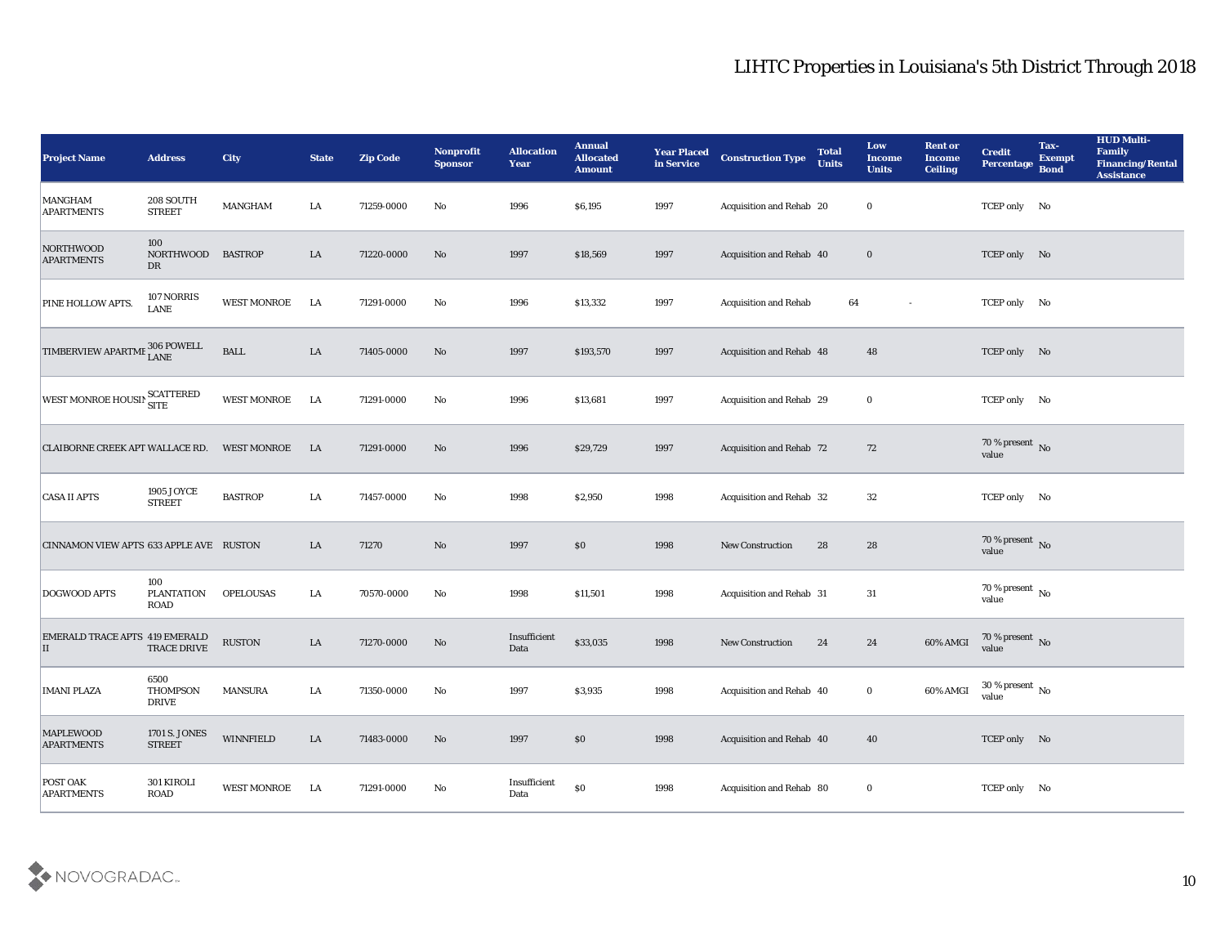| <b>Project Name</b>                         | <b>Address</b>                          | <b>City</b>        | <b>State</b> | <b>Zip Code</b> | Nonprofit<br><b>Sponsor</b> | <b>Allocation</b><br><b>Year</b> | <b>Annual</b><br><b>Allocated</b><br><b>Amount</b> | <b>Year Placed</b><br>in Service | <b>Construction Type</b>        | <b>Total</b><br><b>Units</b> | Low<br><b>Income</b><br><b>Units</b> | <b>Rent or</b><br>Income<br><b>Ceiling</b> | <b>Credit</b><br><b>Percentage</b> | Tax-<br><b>Exempt</b><br><b>Bond</b> | <b>HUD Multi-</b><br><b>Family</b><br><b>Financing/Rental</b><br><b>Assistance</b> |
|---------------------------------------------|-----------------------------------------|--------------------|--------------|-----------------|-----------------------------|----------------------------------|----------------------------------------------------|----------------------------------|---------------------------------|------------------------------|--------------------------------------|--------------------------------------------|------------------------------------|--------------------------------------|------------------------------------------------------------------------------------|
| <b>MANGHAM</b><br><b>APARTMENTS</b>         | 208 SOUTH<br><b>STREET</b>              | MANGHAM            | LA           | 71259-0000      | No                          | 1996                             | \$6,195                                            | 1997                             | Acquisition and Rehab 20        |                              | $\bf{0}$                             |                                            | TCEP only No                       |                                      |                                                                                    |
| NORTHWOOD<br><b>APARTMENTS</b>              | 100<br><b>NORTHWOOD</b><br>DR           | <b>BASTROP</b>     | LA           | 71220-0000      | No                          | 1997                             | \$18,569                                           | 1997                             | Acquisition and Rehab 40        |                              | $\bf{0}$                             |                                            | TCEP only No                       |                                      |                                                                                    |
| PINE HOLLOW APTS.                           | 107 NORRIS<br><b>LANE</b>               | WEST MONROE        | LA           | 71291-0000      | No                          | 1996                             | \$13,332                                           | 1997                             | <b>Acquisition and Rehab</b>    | 64                           | $\sim$                               |                                            | TCEP only No                       |                                      |                                                                                    |
| <b>TIMBERVIEW APARTME</b>                   | $\epsilon$ 306 POWELL<br>LANE           | <b>BALL</b>        | ${\rm LA}$   | 71405-0000      | No                          | 1997                             | \$193,570                                          | 1997                             | Acquisition and Rehab 48        |                              | 48                                   |                                            | TCEP only No                       |                                      |                                                                                    |
| WEST MONROE HOUSIN SCATTERED                |                                         | <b>WEST MONROE</b> | LA           | 71291-0000      | No                          | 1996                             | \$13,681                                           | 1997                             | Acquisition and Rehab 29        |                              | $\bf{0}$                             |                                            | TCEP only No                       |                                      |                                                                                    |
| <b>CLAIBORNE CREEK APT WALLACE RD.</b>      |                                         | <b>WEST MONROE</b> | LA           | 71291-0000      | No                          | 1996                             | \$29,729                                           | 1997                             | <b>Acquisition and Rehab 72</b> |                              | 72                                   |                                            | 70 % present No<br>value           |                                      |                                                                                    |
| <b>CASA II APTS</b>                         | 1905 JOYCE<br><b>STREET</b>             | <b>BASTROP</b>     | LA           | 71457-0000      | No                          | 1998                             | \$2,950                                            | 1998                             | Acquisition and Rehab 32        |                              | 32                                   |                                            | TCEP only No                       |                                      |                                                                                    |
| CINNAMON VIEW APTS 633 APPLE AVE RUSTON     |                                         |                    | LA           | 71270           | No                          | 1997                             | \$0                                                | 1998                             | <b>New Construction</b>         | 28                           | 28                                   |                                            | 70 % present $\,$ No $\,$<br>value |                                      |                                                                                    |
| DOGWOOD APTS                                | 100<br><b>PLANTATION</b><br><b>ROAD</b> | <b>OPELOUSAS</b>   | LA           | 70570-0000      | No                          | 1998                             | \$11,501                                           | 1998                             | Acquisition and Rehab 31        |                              | 31                                   |                                            | 70 % present No<br>value           |                                      |                                                                                    |
| <b>EMERALD TRACE APTS 419 EMERALD</b><br>II | <b>TRACE DRIVE</b>                      | <b>RUSTON</b>      | LA           | 71270-0000      | No                          | Insufficient<br>Data             | \$33,035                                           | 1998                             | <b>New Construction</b>         | 24                           | 24                                   | 60% AMGI                                   | 70 % present No<br>value           |                                      |                                                                                    |
| <b>IMANI PLAZA</b>                          | 6500<br><b>THOMPSON</b><br><b>DRIVE</b> | <b>MANSURA</b>     | LA           | 71350-0000      | No                          | 1997                             | \$3,935                                            | 1998                             | Acquisition and Rehab 40        |                              | $\bf{0}$                             | 60% AMGI                                   | 30 % present $\,$ No $\,$<br>value |                                      |                                                                                    |
| <b>MAPLEWOOD</b><br><b>APARTMENTS</b>       | 1701 S. JONES<br><b>STREET</b>          | WINNFIELD          | ${\rm LA}$   | 71483-0000      | $\rm\thinspace No$          | 1997                             | $\$0$                                              | 1998                             | Acquisition and Rehab 40        |                              | 40                                   |                                            | TCEP only No                       |                                      |                                                                                    |
| <b>POST OAK</b><br><b>APARTMENTS</b>        | 301 KIROLI<br>$\rm{ROAD}$               | WEST MONROE        | LA           | 71291-0000      | $\mathbf {No}$              | Insufficient<br>Data             | $\$0$                                              | 1998                             | Acquisition and Rehab 80        |                              | $\bf{0}$                             |                                            | TCEP only No                       |                                      |                                                                                    |

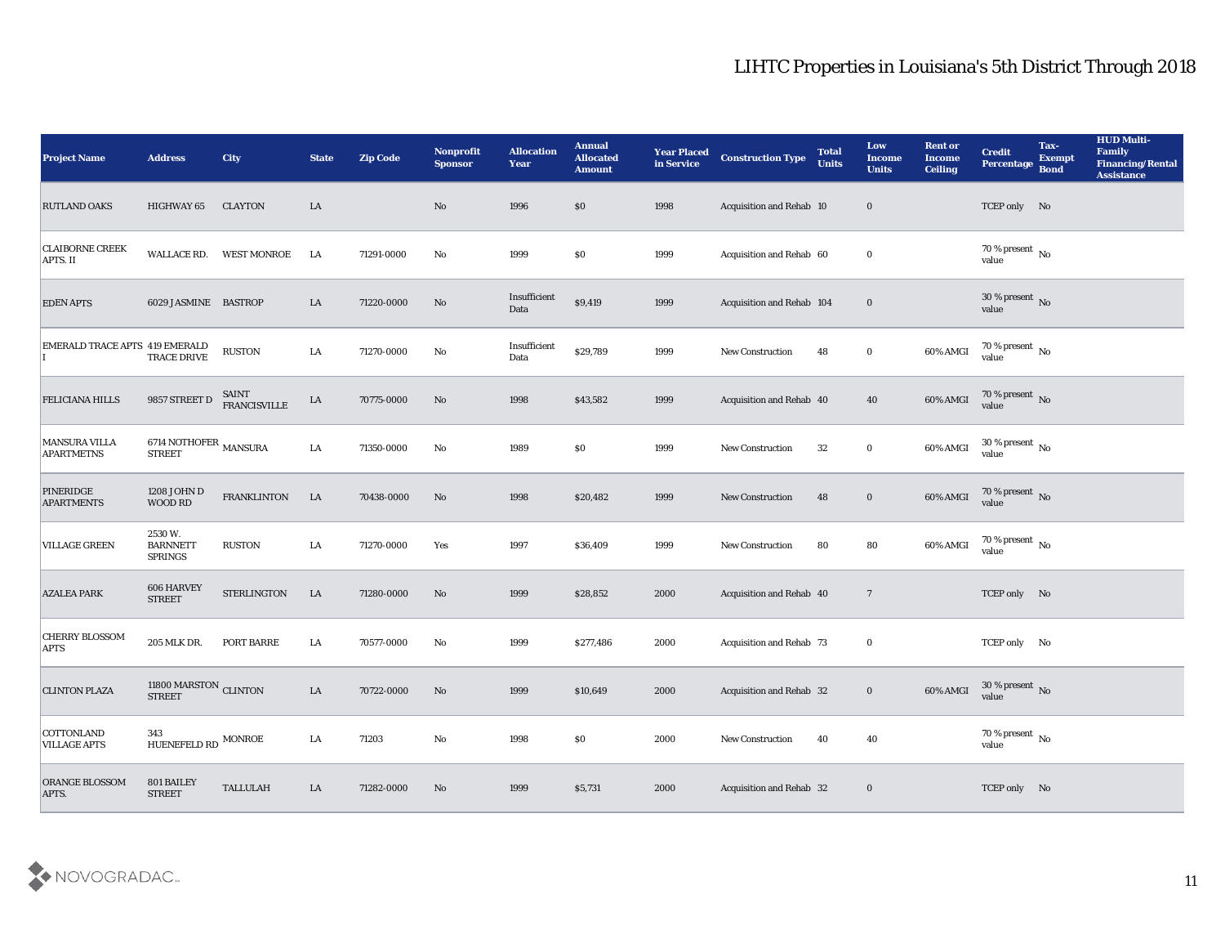| <b>Project Name</b>                       | <b>Address</b>                              | City                                | <b>State</b> | <b>Zip Code</b> | <b>Nonprofit</b><br><b>Sponsor</b> | <b>Allocation</b><br><b>Year</b> | <b>Annual</b><br><b>Allocated</b><br><b>Amount</b> | <b>Year Placed</b><br>in Service | <b>Construction Type</b>  | <b>Total</b><br><b>Units</b> | Low<br><b>Income</b><br><b>Units</b> | <b>Rent or</b><br><b>Income</b><br><b>Ceiling</b> | <b>Credit</b><br>Percentage        | Tax-<br><b>Exempt</b><br><b>Bond</b> | <b>HUD Multi-</b><br>Family<br><b>Financing/Rental</b><br><b>Assistance</b> |
|-------------------------------------------|---------------------------------------------|-------------------------------------|--------------|-----------------|------------------------------------|----------------------------------|----------------------------------------------------|----------------------------------|---------------------------|------------------------------|--------------------------------------|---------------------------------------------------|------------------------------------|--------------------------------------|-----------------------------------------------------------------------------|
| <b>RUTLAND OAKS</b>                       | <b>HIGHWAY 65</b>                           | <b>CLAYTON</b>                      | LA           |                 | No                                 | 1996                             | \$0                                                | 1998                             | Acquisition and Rehab 10  |                              | $\bf{0}$                             |                                                   | TCEP only No                       |                                      |                                                                             |
| <b>CLAIBORNE CREEK</b><br><b>APTS. II</b> |                                             | WALLACE RD. WEST MONROE             | LA           | 71291-0000      | No                                 | 1999                             | $\$0$                                              | 1999                             | Acquisition and Rehab 60  |                              | $\bf{0}$                             |                                                   | 70 % present $\,$ No $\,$<br>value |                                      |                                                                             |
| <b>EDEN APTS</b>                          | 6029 JASMINE BASTROP                        |                                     | LA           | 71220-0000      | No                                 | Insufficient<br>Data             | \$9,419                                            | 1999                             | Acquisition and Rehab 104 |                              | $\bf{0}$                             |                                                   | 30 % present $\bar{N}$ o<br>value  |                                      |                                                                             |
| <b>EMERALD TRACE APTS 419 EMERALD</b>     | TRACE DRIVE                                 | <b>RUSTON</b>                       | LA           | 71270-0000      | No                                 | Insufficient<br>Data             | \$29,789                                           | 1999                             | <b>New Construction</b>   | 48                           | $\bf{0}$                             | 60% AMGI                                          | $70\,\%$ present $\,$ No value     |                                      |                                                                             |
| <b>FELICIANA HILLS</b>                    | 9857 STREET D                               | <b>SAINT</b><br><b>FRANCISVILLE</b> | LA           | 70775-0000      | No                                 | 1998                             | \$43,582                                           | 1999                             | Acquisition and Rehab 40  |                              | 40                                   | 60% AMGI                                          | $70\,\%$ present $\,$ No value     |                                      |                                                                             |
| <b>MANSURA VILLA</b><br><b>APARTMETNS</b> | 6714 NOTHOFER $\,$ MANSURA<br><b>STREET</b> |                                     | ${\rm LA}$   | 71350-0000      | No                                 | 1989                             | $\$0$                                              | 1999                             | <b>New Construction</b>   | 32                           | $\bf{0}$                             | 60% AMGI                                          | $30\,\%$ present $\,$ No value     |                                      |                                                                             |
| <b>PINERIDGE</b><br><b>APARTMENTS</b>     | 1208 JOHN D<br>WOOD RD                      | <b>FRANKLINTON</b>                  | LA           | 70438-0000      | No                                 | 1998                             | \$20,482                                           | 1999                             | <b>New Construction</b>   | 48                           | $\bf{0}$                             | 60% AMGI                                          | $70\,\%$ present $\,$ No value     |                                      |                                                                             |
| <b>VILLAGE GREEN</b>                      | 2530W.<br><b>BARNNETT</b><br><b>SPRINGS</b> | RUSTON                              | LA           | 71270-0000      | Yes                                | 1997                             | \$36,409                                           | 1999                             | New Construction          | 80                           | 80                                   | 60% AMGI                                          | 70 % present $\,$ No $\,$<br>value |                                      |                                                                             |
| <b>AZALEA PARK</b>                        | 606 HARVEY<br><b>STREET</b>                 | STERLINGTON                         | LA           | 71280-0000      | No                                 | 1999                             | \$28,852                                           | 2000                             | Acquisition and Rehab 40  |                              | $\overline{7}$                       |                                                   | TCEP only No                       |                                      |                                                                             |
| <b>CHERRY BLOSSOM</b><br><b>APTS</b>      | 205 MLK DR.                                 | PORT BARRE                          | LA           | 70577-0000      | No                                 | 1999                             | \$277,486                                          | 2000                             | Acquisition and Rehab 73  |                              | $\bf{0}$                             |                                                   | TCEP only No                       |                                      |                                                                             |
| <b>CLINTON PLAZA</b>                      | 11800 MARSTON CLINTON<br><b>STREET</b>      |                                     | LA           | 70722-0000      | No                                 | 1999                             | \$10,649                                           | 2000                             | Acquisition and Rehab 32  |                              | $\bf{0}$                             | 60% AMGI                                          | 30 % present No<br>value           |                                      |                                                                             |
| COTTONLAND<br><b>VILLAGE APTS</b>         | 343<br>HUENEFELD RD $\,$ MONROE             |                                     | LA           | 71203           | $\rm\, No$                         | 1998                             | \$0                                                | 2000                             | New Construction          | 40                           | 40                                   |                                                   | 70 % present $\,$ No $\,$<br>value |                                      |                                                                             |
| ORANGE BLOSSOM<br>APTS.                   | 801 BAILEY<br><b>STREET</b>                 | TALLULAH                            | ${\rm LA}$   | 71282-0000      | $\mathbf{N}\mathbf{o}$             | 1999                             | \$5,731                                            | 2000                             | Acquisition and Rehab 32  |                              | $\bf{0}$                             |                                                   | TCEP only No                       |                                      |                                                                             |

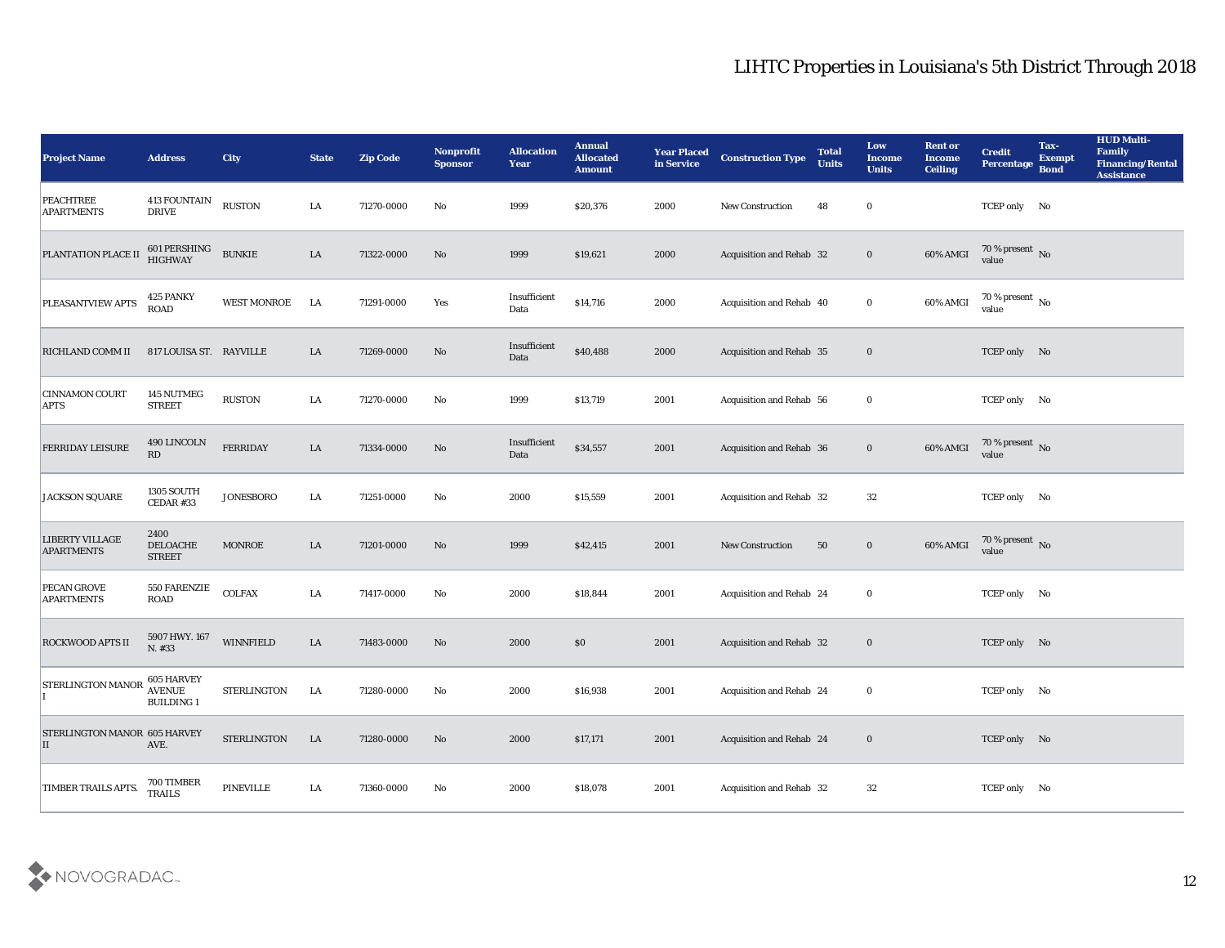| <b>Project Name</b>                         | <b>Address</b>                                          | <b>City</b>        | <b>State</b> | <b>Zip Code</b> | Nonprofit<br><b>Sponsor</b> | <b>Allocation</b><br><b>Year</b> | <b>Annual</b><br><b>Allocated</b><br><b>Amount</b> | <b>Year Placed</b><br>in Service | <b>Construction Type</b>        | <b>Total</b><br><b>Units</b> | Low<br><b>Income</b><br><b>Units</b> | <b>Rent or</b><br><b>Income</b><br><b>Ceiling</b> | <b>Credit</b><br>Percentage          | Tax-<br><b>Exempt</b><br><b>Bond</b> | <b>HUD Multi-</b><br>Family<br><b>Financing/Rental</b><br><b>Assistance</b> |
|---------------------------------------------|---------------------------------------------------------|--------------------|--------------|-----------------|-----------------------------|----------------------------------|----------------------------------------------------|----------------------------------|---------------------------------|------------------------------|--------------------------------------|---------------------------------------------------|--------------------------------------|--------------------------------------|-----------------------------------------------------------------------------|
| <b>PEACHTREE</b><br><b>APARTMENTS</b>       | <b>413 FOUNTAIN</b><br><b>DRIVE</b>                     | <b>RUSTON</b>      | LA           | 71270-0000      | No                          | 1999                             | \$20,376                                           | 2000                             | New Construction                | 48                           | $\bf{0}$                             |                                                   | TCEP only No                         |                                      |                                                                             |
| PLANTATION PLACE II                         | 601 PERSHING<br>HIGHWAY                                 | <b>BUNKIE</b>      | LA           | 71322-0000      | No                          | 1999                             | \$19,621                                           | 2000                             | Acquisition and Rehab 32        |                              | $\bf{0}$                             | 60% AMGI                                          | 70 % present $\sqrt{\ }$ No<br>value |                                      |                                                                             |
| PLEASANTVIEW APTS                           | 425 PANKY<br><b>ROAD</b>                                | WEST MONROE        | LA           | 71291-0000      | Yes                         | Insufficient<br>Data             | \$14,716                                           | 2000                             | Acquisition and Rehab 40        |                              | $\bf{0}$                             | 60% AMGI                                          | 70 % present $\,$ No $\,$<br>value   |                                      |                                                                             |
| RICHLAND COMM II                            | 817 LOUISA ST. RAYVILLE                                 |                    | LA           | 71269-0000      | No                          | Insufficient<br>Data             | \$40,488                                           | 2000                             | <b>Acquisition and Rehab 35</b> |                              | $\bf{0}$                             |                                                   | TCEP only No                         |                                      |                                                                             |
| <b>CINNAMON COURT</b><br><b>APTS</b>        | 145 NUTMEG<br><b>STREET</b>                             | <b>RUSTON</b>      | LA           | 71270-0000      | No                          | 1999                             | \$13,719                                           | 2001                             | Acquisition and Rehab 56        |                              | $\bf{0}$                             |                                                   | TCEP only No                         |                                      |                                                                             |
| <b>FERRIDAY LEISURE</b>                     | 490 LINCOLN<br>RD                                       | <b>FERRIDAY</b>    | LA           | 71334-0000      | No                          | Insufficient<br>Data             | \$34,557                                           | 2001                             | Acquisition and Rehab 36        |                              | $\bf{0}$                             | 60% AMGI                                          | 70 % present No<br>value             |                                      |                                                                             |
| JACKSON SQUARE                              | 1305 SOUTH<br>CEDAR #33                                 | <b>JONESBORO</b>   | LA           | 71251-0000      | No                          | 2000                             | \$15,559                                           | 2001                             | Acquisition and Rehab 32        |                              | 32                                   |                                                   | TCEP only No                         |                                      |                                                                             |
| <b>LIBERTY VILLAGE</b><br><b>APARTMENTS</b> | 2400<br>DELOACHE<br><b>STREET</b>                       | <b>MONROE</b>      | LA           | 71201-0000      | No                          | 1999                             | \$42,415                                           | 2001                             | <b>New Construction</b>         | 50                           | $\bf{0}$                             | 60% AMGI                                          | 70 % present No<br>value             |                                      |                                                                             |
| PECAN GROVE<br><b>APARTMENTS</b>            | <b>550 FARENZIE</b>                                     | <b>COLFAX</b>      | LA           | 71417-0000      | No                          | 2000                             | \$18,844                                           | 2001                             | <b>Acquisition and Rehab 24</b> |                              | $\bf{0}$                             |                                                   | TCEP only No                         |                                      |                                                                             |
| <b>ROCKWOOD APTS II</b>                     | 5907 HWY. 167<br>N. #33                                 | <b>WINNFIELD</b>   | LA           | 71483-0000      | No                          | 2000                             | \$0                                                | 2001                             | <b>Acquisition and Rehab 32</b> |                              | $\bf{0}$                             |                                                   | TCEP only No                         |                                      |                                                                             |
| STERLINGTON MANOR                           | <b>605 HARVEY</b><br><b>AVENUE</b><br><b>BUILDING 1</b> | <b>STERLINGTON</b> | LA           | 71280-0000      | No                          | 2000                             | \$16,938                                           | 2001                             | Acquisition and Rehab 24        |                              | $\bf{0}$                             |                                                   | TCEP only No                         |                                      |                                                                             |
| STERLINGTON MANOR 605 HARVEY<br>IІ          | AVE.                                                    | STERLINGTON        | LA           | 71280-0000      | $\rm\thinspace No$          | 2000                             | \$17,171                                           | 2001                             | Acquisition and Rehab 24        |                              | $\bf{0}$                             |                                                   | TCEP only No                         |                                      |                                                                             |
| TIMBER TRAILS APTS.                         | 700 TIMBER<br><b>TRAILS</b>                             | PINEVILLE          | ${\rm LA}$   | 71360-0000      | $\mathbf{N}\mathbf{o}$      | 2000                             | \$18,078                                           | 2001                             | Acquisition and Rehab 32        |                              | $32\,$                               |                                                   | TCEP only No                         |                                      |                                                                             |

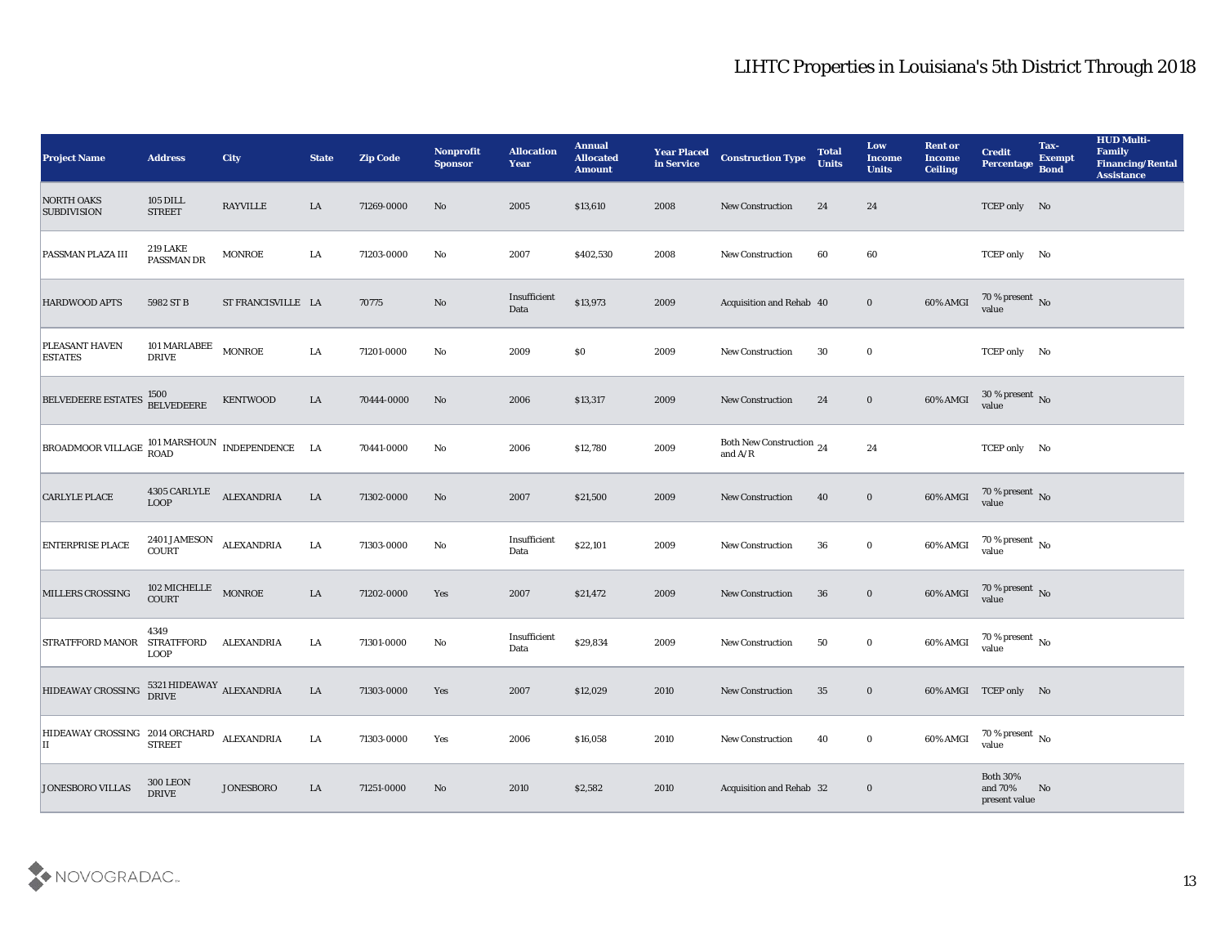| <b>Project Name</b>                                                     | <b>Address</b>                                   | <b>City</b>        | <b>State</b> | <b>Zip Code</b> | <b>Nonprofit</b><br><b>Sponsor</b> | <b>Allocation</b><br><b>Year</b> | <b>Annual</b><br><b>Allocated</b><br><b>Amount</b> | <b>Year Placed</b><br>in Service | <b>Construction Type</b>                                                          | <b>Total</b><br><b>Units</b> | Low<br><b>Income</b><br><b>Units</b> | <b>Rent or</b><br><b>Income</b><br><b>Ceiling</b> | <b>Credit</b><br><b>Percentage</b>          | Tax-<br><b>Exempt</b><br><b>Bond</b> | <b>HUD Multi-</b><br>Family<br><b>Financing/Rental</b><br><b>Assistance</b> |
|-------------------------------------------------------------------------|--------------------------------------------------|--------------------|--------------|-----------------|------------------------------------|----------------------------------|----------------------------------------------------|----------------------------------|-----------------------------------------------------------------------------------|------------------------------|--------------------------------------|---------------------------------------------------|---------------------------------------------|--------------------------------------|-----------------------------------------------------------------------------|
| <b>NORTH OAKS</b><br><b>SUBDIVISION</b>                                 | <b>105 DILL</b><br><b>STREET</b>                 | <b>RAYVILLE</b>    | LA           | 71269-0000      | No                                 | 2005                             | \$13,610                                           | 2008                             | <b>New Construction</b>                                                           | 24                           | 24                                   |                                                   | TCEP only No                                |                                      |                                                                             |
| <b>PASSMAN PLAZA III</b>                                                | <b>219 LAKE</b><br>PASSMAN DR                    | <b>MONROE</b>      | LA           | 71203-0000      | No                                 | 2007                             | \$402,530                                          | 2008                             | New Construction                                                                  | 60                           | 60                                   |                                                   | TCEP only No                                |                                      |                                                                             |
| <b>HARDWOOD APTS</b>                                                    | 5982 ST B                                        | ST FRANCISVILLE LA |              | 70775           | No                                 | Insufficient<br>Data             | \$13,973                                           | 2009                             | Acquisition and Rehab 40                                                          |                              | $\bf{0}$                             | 60% AMGI                                          | $70\,\%$ present $\,$ No value              |                                      |                                                                             |
| PLEASANT HAVEN<br><b>ESTATES</b>                                        | 101 MARLABEE<br><b>DRIVE</b>                     | <b>MONROE</b>      | ${\rm LA}$   | 71201-0000      | $\mathbf{No}$                      | 2009                             | \$0\$                                              | 2009                             | New Construction                                                                  | 30                           | $\bf{0}$                             |                                                   | TCEP only No                                |                                      |                                                                             |
| BELVEDEERE ESTATES                                                      | 1500<br>BELVEDEERE                               | <b>KENTWOOD</b>    | ${\rm LA}$   | 70444-0000      | No                                 | 2006                             | \$13,317                                           | 2009                             | <b>New Construction</b>                                                           | 24                           | $\bf{0}$                             | 60% AMGI                                          | $30\,\%$ present $\,$ No value              |                                      |                                                                             |
| BROADMOOR VILLAGE $_{\rm{ROAD}}^{101\,{\rm{MARSHOUN}}}$ INDEPENDENCE LA |                                                  |                    |              | 70441-0000      | $\rm No$                           | 2006                             | \$12,780                                           | 2009                             | Both New Construction 24<br>and $\ensuremath{\mathrm{A}}/\ensuremath{\mathrm{R}}$ |                              | 24                                   |                                                   | TCEP only No                                |                                      |                                                                             |
| <b>CARLYLE PLACE</b>                                                    | $4305$ $\sf CARLYLE$ $\sf ALEXANDRIA$ $\sf LOOP$ |                    | ${\rm LA}$   | 71302-0000      | No                                 | 2007                             | \$21,500                                           | 2009                             | New Construction                                                                  | 40                           | $\bf{0}$                             | 60% AMGI                                          | 70 % present No<br>value                    |                                      |                                                                             |
| <b>ENTERPRISE PLACE</b>                                                 | 2401 JAMESON ALEXANDRIA<br><b>COURT</b>          |                    | ${\rm LA}$   | 71303-0000      | No                                 | Insufficient<br>Data             | \$22,101                                           | 2009                             | <b>New Construction</b>                                                           | 36                           | $\bf{0}$                             | 60% AMGI                                          | $70\,\%$ present $\,$ No value              |                                      |                                                                             |
| MILLERS CROSSING                                                        | 102 MICHELLE<br><b>COURT</b>                     | <b>MONROE</b>      | LA           | 71202-0000      | Yes                                | 2007                             | \$21,472                                           | 2009                             | <b>New Construction</b>                                                           | 36                           | $\bf{0}$                             | 60% AMGI                                          | $70\,\%$ present $\,$ No value              |                                      |                                                                             |
| <b>STRATFFORD MANOR</b>                                                 | 4349<br><b>STRATFFORD</b><br><b>LOOP</b>         | <b>ALEXANDRIA</b>  | LA           | 71301-0000      | $\mathbf{No}$                      | Insufficient<br>Data             | \$29,834                                           | 2009                             | <b>New Construction</b>                                                           | 50                           | $\bf{0}$                             | 60% AMGI                                          | $70\,\%$ present $\,$ No value              |                                      |                                                                             |
| HIDEAWAY CROSSING                                                       | $5321\,\mbox{HIDEAWAY}$ ALEXANDRIA DRIVE         |                    | LA           | 71303-0000      | Yes                                | 2007                             | \$12,029                                           | 2010                             | <b>New Construction</b>                                                           | 35                           | $\bf{0}$                             |                                                   | 60% AMGI TCEP only No                       |                                      |                                                                             |
| HIDEAWAY CROSSING 2014 ORCHARD<br>П                                     | <b>STREET</b>                                    | <b>ALEXANDRIA</b>  | LA           | 71303-0000      | Yes                                | 2006                             | \$16,058                                           | 2010                             | New Construction                                                                  | 40                           | $\bf{0}$                             | 60% AMGI                                          | $70\,\%$ present $\,$ No value              |                                      |                                                                             |
| <b>JONESBORO VILLAS</b>                                                 | <b>300 LEON</b><br>$\ensuremath{\mathsf{DRIVE}}$ | JONESBORO          | ${\rm LA}$   | 71251-0000      | No                                 | 2010                             | \$2,582                                            | 2010                             | Acquisition and Rehab 32                                                          |                              | $\bf{0}$                             |                                                   | <b>Both 30%</b><br>and 70%<br>present value | No                                   |                                                                             |

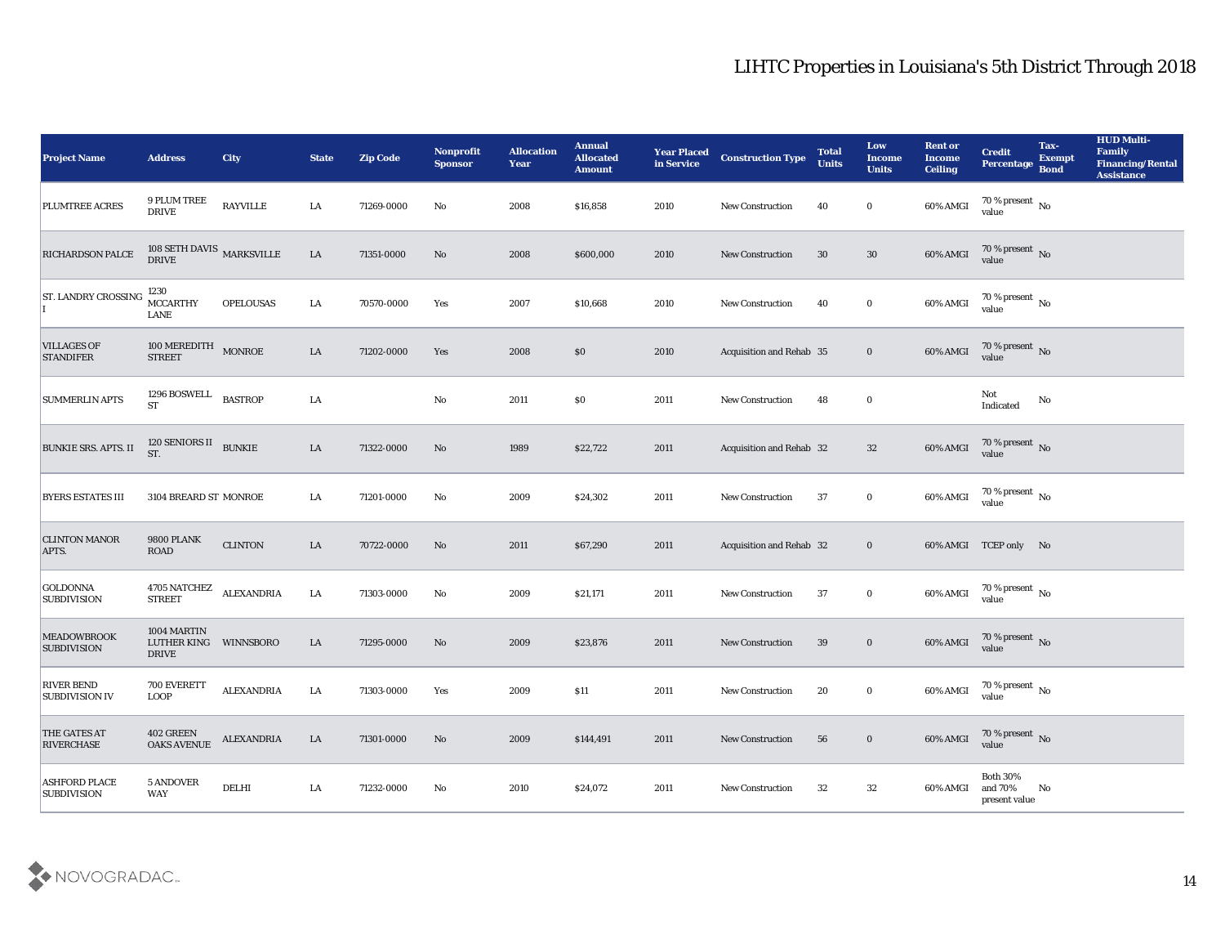| <b>Project Name</b>                        | <b>Address</b>                             | <b>City</b>       | <b>State</b> | <b>Zip Code</b> | Nonprofit<br><b>Sponsor</b> | <b>Allocation</b><br><b>Year</b> | <b>Annual</b><br><b>Allocated</b><br><b>Amount</b> | <b>Year Placed</b><br>in Service | <b>Construction Type</b>        | <b>Total</b><br><b>Units</b> | Low<br><b>Income</b><br><b>Units</b> | <b>Rent or</b><br><b>Income</b><br>Ceiling | <b>Credit</b><br><b>Percentage</b>          | Tax-<br><b>Exempt</b><br><b>Bond</b> | <b>HUD Multi-</b><br>Family<br><b>Financing/Rental</b><br><b>Assistance</b> |
|--------------------------------------------|--------------------------------------------|-------------------|--------------|-----------------|-----------------------------|----------------------------------|----------------------------------------------------|----------------------------------|---------------------------------|------------------------------|--------------------------------------|--------------------------------------------|---------------------------------------------|--------------------------------------|-----------------------------------------------------------------------------|
| PLUMTREE ACRES                             | 9 PLUM TREE<br><b>DRIVE</b>                | <b>RAYVILLE</b>   | LA           | 71269-0000      | No                          | 2008                             | \$16,858                                           | 2010                             | <b>New Construction</b>         | 40                           | $\bf{0}$                             | 60% AMGI                                   | $70\,\%$ present $\,$ No value              |                                      |                                                                             |
| <b>RICHARDSON PALCE</b>                    | 108 SETH DAVIS $\,$ MARKSVILLE DRIVE       |                   | LA           | 71351-0000      | No                          | 2008                             | \$600,000                                          | 2010                             | <b>New Construction</b>         | 30                           | 30                                   | 60% AMGI                                   | $70$ % present $\,$ No $\,$ value           |                                      |                                                                             |
| <b>ST. LANDRY CROSSING</b>                 | 1230<br><b>MCCARTHY</b><br>LANE            | <b>OPELOUSAS</b>  | LA           | 70570-0000      | Yes                         | 2007                             | \$10,668                                           | 2010                             | New Construction                | 40                           | $\bf{0}$                             | 60% AMGI                                   | $70\,\%$ present $\,$ No value              |                                      |                                                                             |
| <b>VILLAGES OF</b><br><b>STANDIFER</b>     | 100 MEREDITH MONROE<br><b>STREET</b>       |                   | LA           | 71202-0000      | Yes                         | 2008                             | \$0                                                | 2010                             | Acquisition and Rehab 35        |                              | $\bf{0}$                             | 60% AMGI                                   | $70$ % present $\,$ No $\,$ value           |                                      |                                                                             |
| <b>SUMMERLIN APTS</b>                      | 1296 BOSWELL<br><b>ST</b>                  | <b>BASTROP</b>    | LA           |                 | $\mathbf {No}$              | 2011                             | \$0                                                | 2011                             | New Construction                | 48                           | $\bf{0}$                             |                                            | Not<br>Indicated                            | No                                   |                                                                             |
| <b>BUNKIE SRS. APTS. II</b>                | 120 SENIORS II BUNKIE<br>ST.               |                   | LA           | 71322-0000      | No                          | 1989                             | \$22,722                                           | 2011                             | Acquisition and Rehab 32        |                              | 32                                   | 60% AMGI                                   | $70\,\%$ present $\,$ No value              |                                      |                                                                             |
| <b>BYERS ESTATES III</b>                   | 3104 BREARD ST MONROE                      |                   | LA           | 71201-0000      | No                          | 2009                             | \$24,302                                           | 2011                             | <b>New Construction</b>         | 37                           | $\bf{0}$                             | 60% AMGI                                   | $70$ % present $\,$ No $\,$ value           |                                      |                                                                             |
| <b>CLINTON MANOR</b><br>APTS.              | <b>9800 PLANK</b><br><b>ROAD</b>           | <b>CLINTON</b>    | LA           | 70722-0000      | No                          | 2011                             | \$67,290                                           | 2011                             | <b>Acquisition and Rehab 32</b> |                              | $\bf{0}$                             |                                            | 60% AMGI TCEP only No                       |                                      |                                                                             |
| <b>GOLDONNA</b><br><b>SUBDIVISION</b>      | 4705 NATCHEZ<br><b>STREET</b>              | <b>ALEXANDRIA</b> | LA           | 71303-0000      | No                          | 2009                             | \$21,171                                           | 2011                             | New Construction                | 37                           | $\bf{0}$                             | 60% AMGI                                   | $70$ % present $_{\rm No}$                  |                                      |                                                                             |
| <b>MEADOWBROOK</b><br><b>SUBDIVISION</b>   | 1004 MARTIN<br>LUTHER KING<br><b>DRIVE</b> | WINNSBORO         | LA           | 71295-0000      | No                          | 2009                             | \$23,876                                           | 2011                             | <b>New Construction</b>         | 39                           | $\bf{0}$                             | 60% AMGI                                   | $70\,\%$ present $\,$ No value              |                                      |                                                                             |
| <b>RIVER BEND</b><br><b>SUBDIVISION IV</b> | 700 EVERETT<br><b>LOOP</b>                 | <b>ALEXANDRIA</b> | LA           | 71303-0000      | Yes                         | 2009                             | \$11                                               | 2011                             | <b>New Construction</b>         | 20                           | $\bf{0}$                             | 60% AMGI                                   | 70 % present $\,$ No $\,$<br>value          |                                      |                                                                             |
| <b>THE GATES AT</b><br><b>RIVERCHASE</b>   | $402\,\mathrm{GREE}$<br><b>OAKS AVENUE</b> | <b>ALEXANDRIA</b> | $\rm LA$     | 71301-0000      | $\rm\thinspace No$          | 2009                             | \$144,491                                          | 2011                             | New Construction                | 56                           | $\bf{0}$                             | 60% AMGI                                   | $70$ % present $\,$ No $\,$ value           |                                      |                                                                             |
| <b>ASHFORD PLACE</b><br><b>SUBDIVISION</b> | <b>5 ANDOVER</b><br>WAY                    | <b>DELHI</b>      | LA           | 71232-0000      | $\mathbf{N}\mathbf{o}$      | 2010                             | \$24,072                                           | 2011                             | <b>New Construction</b>         | 32                           | 32                                   | 60% AMGI                                   | <b>Both 30%</b><br>and 70%<br>present value | No                                   |                                                                             |

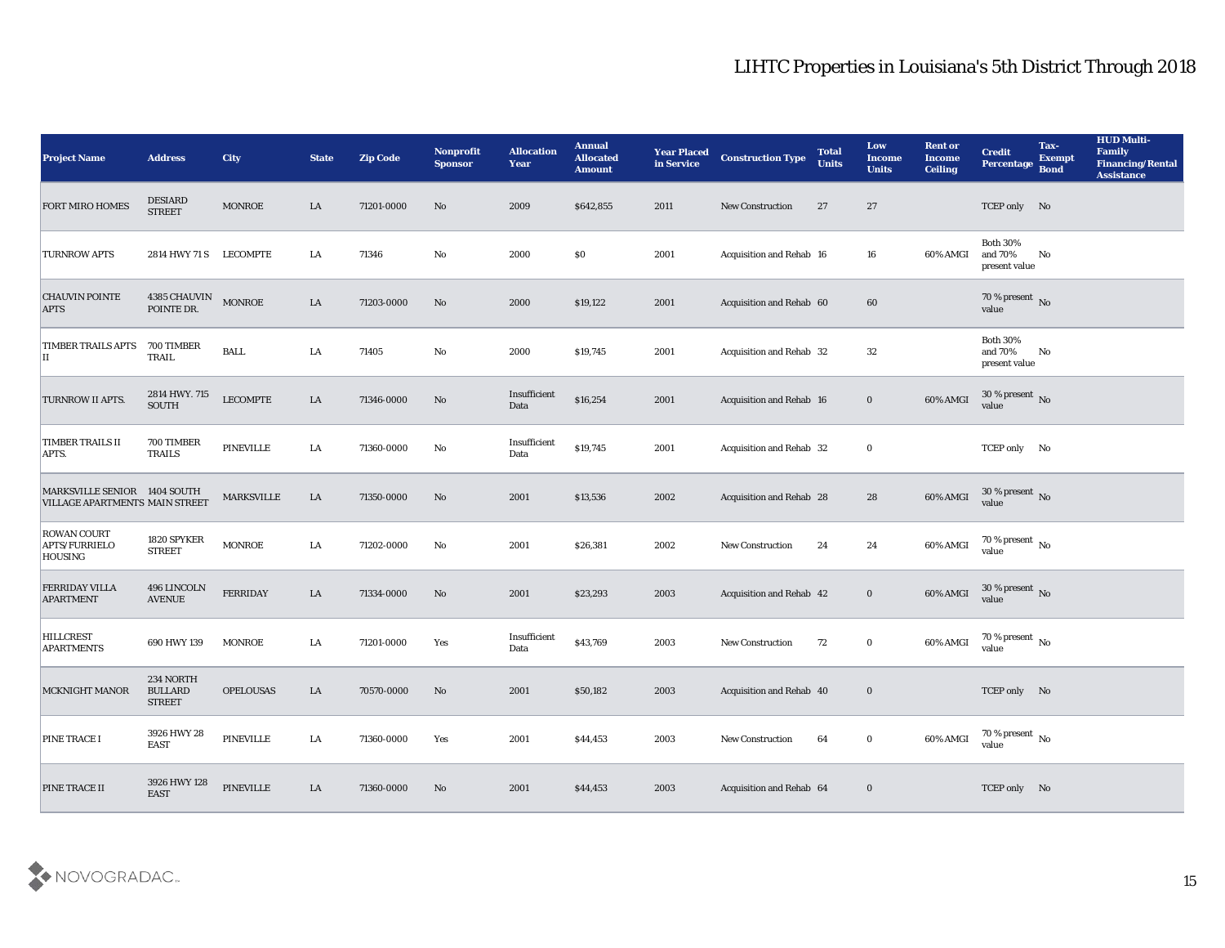| <b>Project Name</b>                                            | <b>Address</b>                               | <b>City</b>       | <b>State</b> | <b>Zip Code</b> | Nonprofit<br><b>Sponsor</b> | <b>Allocation</b><br><b>Year</b> | <b>Annual</b><br><b>Allocated</b><br><b>Amount</b> | <b>Year Placed</b><br>in Service | <b>Construction Type</b> | <b>Total</b><br><b>Units</b> | Low<br><b>Income</b><br><b>Units</b> | <b>Rent or</b><br>Income<br><b>Ceiling</b> | <b>Credit</b><br>Percentage                 | Tax-<br><b>Exempt</b><br><b>Bond</b> | <b>HUD Multi-</b><br>Family<br><b>Financing/Rental</b><br><b>Assistance</b> |
|----------------------------------------------------------------|----------------------------------------------|-------------------|--------------|-----------------|-----------------------------|----------------------------------|----------------------------------------------------|----------------------------------|--------------------------|------------------------------|--------------------------------------|--------------------------------------------|---------------------------------------------|--------------------------------------|-----------------------------------------------------------------------------|
| <b>FORT MIRO HOMES</b>                                         | <b>DESIARD</b><br><b>STREET</b>              | <b>MONROE</b>     | LA           | 71201-0000      | No                          | 2009                             | \$642,855                                          | 2011                             | <b>New Construction</b>  | 27                           | 27                                   |                                            | TCEP only No                                |                                      |                                                                             |
| <b>TURNROW APTS</b>                                            | 2814 HWY 71 S                                | <b>LECOMPTE</b>   | LA           | 71346           | No                          | 2000                             | $\$0$                                              | 2001                             | Acquisition and Rehab 16 |                              | 16                                   | 60% AMGI                                   | <b>Both 30%</b><br>and 70%<br>present value | No                                   |                                                                             |
| <b>CHAUVIN POINTE</b><br><b>APTS</b>                           | 4385 CHAUVIN<br>POINTE DR.                   | <b>MONROE</b>     | LA           | 71203-0000      | No                          | 2000                             | \$19,122                                           | 2001                             | Acquisition and Rehab 60 |                              | 60                                   |                                            | 70 % present No<br>value                    |                                      |                                                                             |
| TIMBER TRAILS APTS<br>П                                        | 700 TIMBER<br>TRAIL                          | <b>BALL</b>       | LA           | 71405           | No                          | 2000                             | \$19,745                                           | 2001                             | Acquisition and Rehab 32 |                              | 32                                   |                                            | <b>Both 30%</b><br>and 70%<br>present value | No                                   |                                                                             |
| <b>TURNROW II APTS.</b>                                        | 2814 HWY. 715<br><b>SOUTH</b>                | <b>LECOMPTE</b>   | LA           | 71346-0000      | No                          | Insufficient<br>Data             | \$16,254                                           | 2001                             | Acquisition and Rehab 16 |                              | $\bf{0}$                             | 60% AMGI                                   | $30\,\%$ present $\,$ No value              |                                      |                                                                             |
| TIMBER TRAILS II<br>APTS.                                      | 700 TIMBER<br><b>TRAILS</b>                  | <b>PINEVILLE</b>  | LA           | 71360-0000      | No                          | Insufficient<br>Data             | \$19,745                                           | 2001                             | Acquisition and Rehab 32 |                              | $\bf{0}$                             |                                            | TCEP only No                                |                                      |                                                                             |
| MARKSVILLE SENIOR 1404 SOUTH<br>VILLAGE APARTMENTS MAIN STREET |                                              | <b>MARKSVILLE</b> | LA           | 71350-0000      | No                          | 2001                             | \$13,536                                           | 2002                             | Acquisition and Rehab 28 |                              | 28                                   | 60% AMGI                                   | $30\,\%$ present $\,$ No value              |                                      |                                                                             |
| <b>ROWAN COURT</b><br>APTS/FURRIELO<br>HOUSING                 | 1820 SPYKER<br><b>STREET</b>                 | <b>MONROE</b>     | LA           | 71202-0000      | No                          | 2001                             | \$26,381                                           | 2002                             | <b>New Construction</b>  | 24                           | 24                                   | 60% AMGI                                   | 70 % present $\,$ No $\,$<br>value          |                                      |                                                                             |
| FERRIDAY VILLA<br><b>APARTMENT</b>                             | 496 LINCOLN<br><b>AVENUE</b>                 | <b>FERRIDAY</b>   | LA           | 71334-0000      | No                          | 2001                             | \$23,293                                           | 2003                             | Acquisition and Rehab 42 |                              | $\bf{0}$                             | 60% AMGI                                   | $30\,\%$ present $\,$ No value              |                                      |                                                                             |
| <b>HILLCREST</b><br><b>APARTMENTS</b>                          | 690 HWY 139                                  | <b>MONROE</b>     | LA           | 71201-0000      | Yes                         | Insufficient<br>Data             | \$43,769                                           | 2003                             | <b>New Construction</b>  | 72                           | $\bf{0}$                             | 60% AMGI                                   | $70\,\%$ present $\,$ No value              |                                      |                                                                             |
| <b>MCKNIGHT MANOR</b>                                          | 234 NORTH<br><b>BULLARD</b><br><b>STREET</b> | <b>OPELOUSAS</b>  | LA           | 70570-0000      | No                          | 2001                             | \$50,182                                           | 2003                             | Acquisition and Rehab 40 |                              | $\bf{0}$                             |                                            | TCEP only No                                |                                      |                                                                             |
| PINE TRACE I                                                   | 3926 HWY 28<br><b>EAST</b>                   | PINEVILLE         | ${\bf LA}$   | 71360-0000      | Yes                         | 2001                             | \$44,453                                           | 2003                             | New Construction         | 64                           | $\bf{0}$                             | 60% AMGI                                   | $70\,\%$ present $\,$ No value              |                                      |                                                                             |
| PINE TRACE II                                                  | 3926 HWY 128<br><b>EAST</b>                  | <b>PINEVILLE</b>  | ${\rm LA}$   | 71360-0000      | $\rm\thinspace No$          | 2001                             | \$44,453                                           | 2003                             | Acquisition and Rehab 64 |                              | $\bf{0}$                             |                                            | TCEP only No                                |                                      |                                                                             |

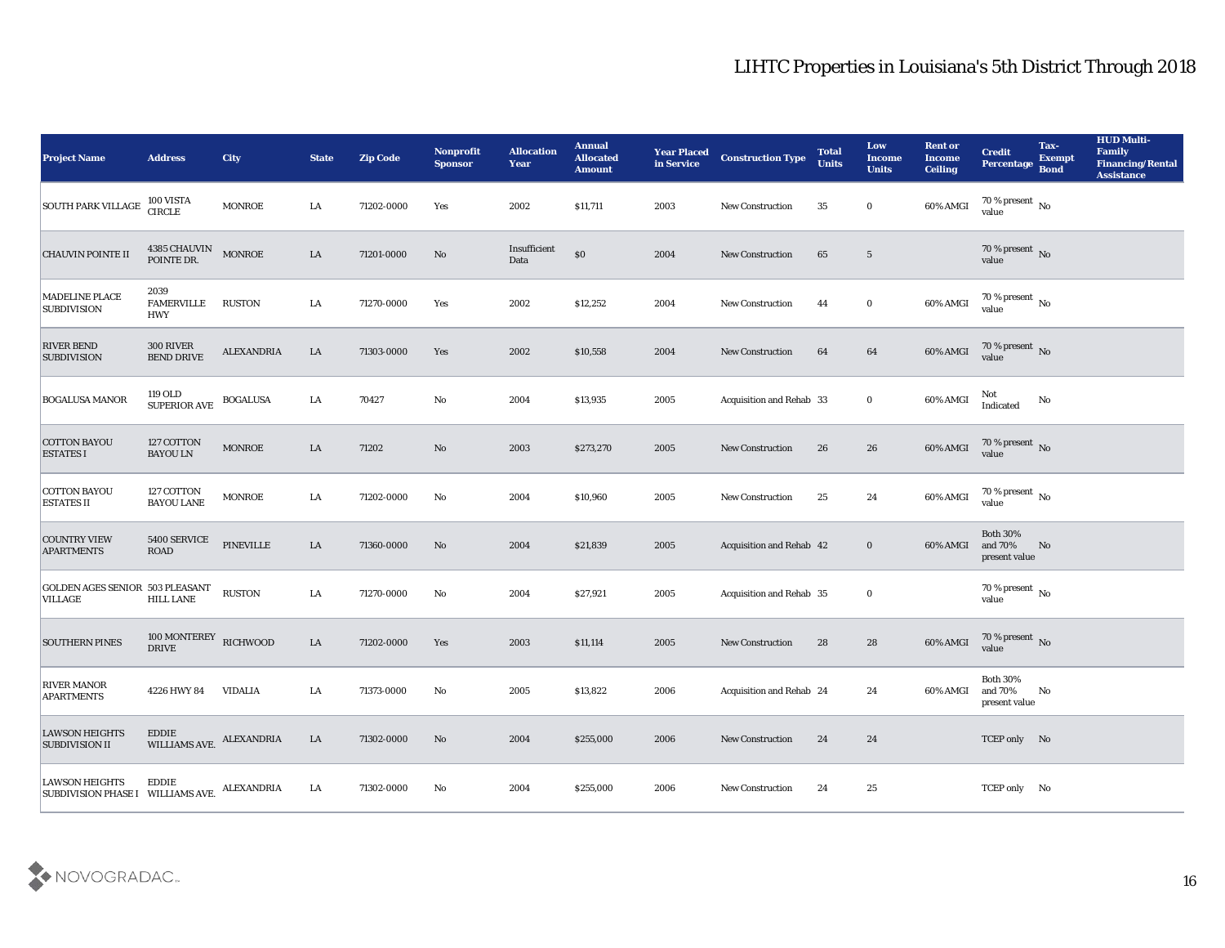| <b>Project Name</b>                                       | <b>Address</b>                          | <b>City</b>       | <b>State</b> | <b>Zip Code</b> | Nonprofit<br><b>Sponsor</b> | <b>Allocation</b><br><b>Year</b> | <b>Annual</b><br><b>Allocated</b><br><b>Amount</b> | <b>Year Placed</b><br>in Service | <b>Construction Type</b>        | <b>Total</b><br><b>Units</b> | Low<br><b>Income</b><br><b>Units</b> | <b>Rent or</b><br><b>Income</b><br><b>Ceiling</b> | <b>Credit</b><br><b>Percentage</b>               | Tax-<br><b>Exempt</b><br><b>Bond</b> | <b>HUD Multi-</b><br>Family<br><b>Financing/Rental</b><br><b>Assistance</b> |
|-----------------------------------------------------------|-----------------------------------------|-------------------|--------------|-----------------|-----------------------------|----------------------------------|----------------------------------------------------|----------------------------------|---------------------------------|------------------------------|--------------------------------------|---------------------------------------------------|--------------------------------------------------|--------------------------------------|-----------------------------------------------------------------------------|
| SOUTH PARK VILLAGE                                        | 100 VISTA<br>CIRCLE                     | <b>MONROE</b>     | LA           | 71202-0000      | Yes                         | 2002                             | \$11,711                                           | 2003                             | <b>New Construction</b>         | 35                           | $\bf{0}$                             | 60% AMGI                                          | 70 % present $\,$ No $\,$<br>value               |                                      |                                                                             |
| <b>CHAUVIN POINTE II</b>                                  | 4385 CHAUVIN MONROE<br>POINTE DR.       |                   | LA           | 71201-0000      | No                          | Insufficient<br>Data             | $\$0$                                              | 2004                             | <b>New Construction</b>         | 65                           | $5\overline{)}$                      |                                                   | 70 % present No<br>value                         |                                      |                                                                             |
| MADELINE PLACE<br><b>SUBDIVISION</b>                      | 2039<br><b>FAMERVILLE</b><br><b>HWY</b> | RUSTON            | LA           | 71270-0000      | Yes                         | 2002                             | \$12,252                                           | 2004                             | <b>New Construction</b>         | 44                           | $\bf{0}$                             | 60% AMGI                                          | 70 % present $\,$ No $\,$<br>value               |                                      |                                                                             |
| <b>RIVER BEND</b><br><b>SUBDIVISION</b>                   | 300 RIVER<br><b>BEND DRIVE</b>          | <b>ALEXANDRIA</b> | LA           | 71303-0000      | Yes                         | 2002                             | \$10,558                                           | 2004                             | <b>New Construction</b>         | 64                           | 64                                   | 60% AMGI                                          | $70\,\%$ present $\,$ No value                   |                                      |                                                                             |
| <b>BOGALUSA MANOR</b>                                     | 119 OLD<br><b>SUPERIOR AVE</b>          | <b>BOGALUSA</b>   | LA           | 70427           | No                          | 2004                             | \$13,935                                           | 2005                             | Acquisition and Rehab 33        |                              | $\bf{0}$                             | 60% AMGI                                          | Not<br>Indicated                                 | No                                   |                                                                             |
| <b>COTTON BAYOU</b><br><b>ESTATES I</b>                   | 127 COTTON<br><b>BAYOU LN</b>           | <b>MONROE</b>     | LA           | 71202           | No                          | 2003                             | \$273,270                                          | 2005                             | <b>New Construction</b>         | 26                           | 26                                   | 60% AMGI                                          | 70 % present $\sqrt{\ }$ No<br>value             |                                      |                                                                             |
| <b>COTTON BAYOU</b><br><b>ESTATES II</b>                  | 127 COTTON<br><b>BAYOU LANE</b>         | <b>MONROE</b>     | LA           | 71202-0000      | No                          | 2004                             | \$10,960                                           | 2005                             | <b>New Construction</b>         | 25                           | 24                                   | 60% AMGI                                          | $70\,\% \,present \over value$                   |                                      |                                                                             |
| <b>COUNTRY VIEW</b><br><b>APARTMENTS</b>                  | 5400 SERVICE<br><b>ROAD</b>             | <b>PINEVILLE</b>  | LA           | 71360-0000      | No                          | 2004                             | \$21,839                                           | 2005                             | Acquisition and Rehab 42        |                              | $\bf{0}$                             | 60% AMGI                                          | <b>Both 30%</b><br>and 70%<br>present value      | No                                   |                                                                             |
| GOLDEN AGES SENIOR 503 PLEASANT<br><b>VILLAGE</b>         | <b>HILL LANE</b>                        | <b>RUSTON</b>     | LA           | 71270-0000      | No                          | 2004                             | \$27,921                                           | 2005                             | <b>Acquisition and Rehab 35</b> |                              | $\bf{0}$                             |                                                   | 70 % present $\,$ No $\,$<br>value               |                                      |                                                                             |
| <b>SOUTHERN PINES</b>                                     | 100 MONTEREY RICHWOOD<br><b>DRIVE</b>   |                   | LA           | 71202-0000      | Yes                         | 2003                             | \$11,114                                           | 2005                             | <b>New Construction</b>         | 28                           | 28                                   | 60% AMGI                                          | $70\,\%$ present $\,$ No value                   |                                      |                                                                             |
| <b>RIVER MANOR</b><br><b>APARTMENTS</b>                   | 4226 HWY 84                             | <b>VIDALIA</b>    | LA           | 71373-0000      | No                          | 2005                             | \$13,822                                           | 2006                             | Acquisition and Rehab 24        |                              | 24                                   | 60% AMGI                                          | <b>Both 30%</b><br>and 70%<br>$\,$ present value | No                                   |                                                                             |
| <b>LAWSON HEIGHTS</b><br><b>SUBDIVISION II</b>            | EDDIE<br>WILLIAMS AVE. ALEXANDRIA       |                   | ${\rm LA}$   | 71302-0000      | $\rm\, No$                  | ${\bf 2004}$                     | \$255,000                                          | ${\bf 2006}$                     | New Construction                | 24                           | $\bf 24$                             |                                                   | TCEP only No                                     |                                      |                                                                             |
| LAWSON HEIGHTS EDDIE<br>SUBDIVISION PHASE I WILLIAMS AVE. |                                         | ALEXANDRIA        | ${\rm LA}$   | 71302-0000      | $\mathbf{N}\mathbf{o}$      | 2004                             | \$255,000                                          | 2006                             | New Construction                | 24                           | 25                                   |                                                   | TCEP only No                                     |                                      |                                                                             |

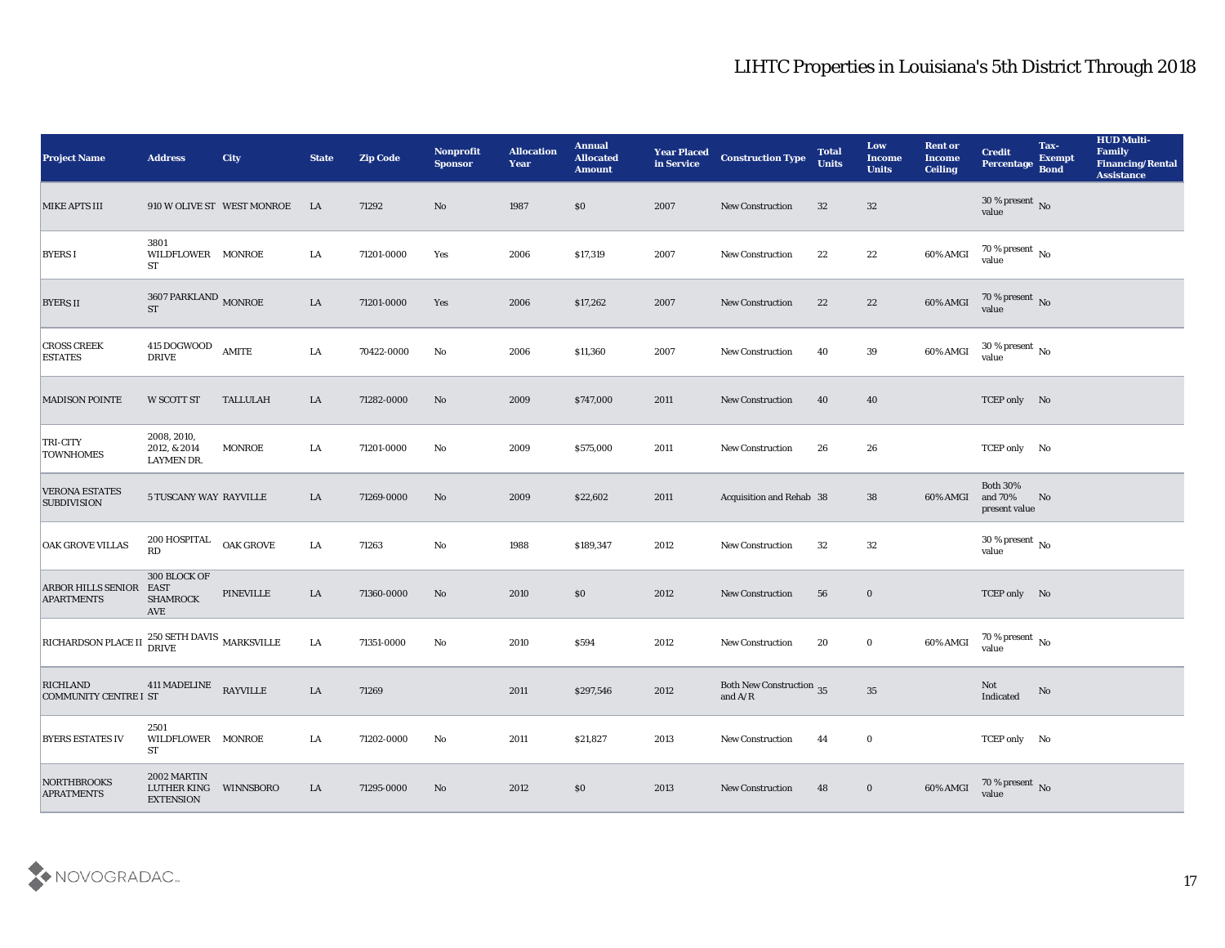| <b>Project Name</b>                                            | <b>Address</b>                                 | <b>City</b>                | <b>State</b> | <b>Zip Code</b> | <b>Nonprofit</b><br><b>Sponsor</b> | <b>Allocation</b><br><b>Year</b> | <b>Annual</b><br><b>Allocated</b><br><b>Amount</b> | <b>Year Placed</b><br>in Service | <b>Construction Type</b>                                                                 | <b>Total</b><br><b>Units</b> | Low<br><b>Income</b><br><b>Units</b> | <b>Rent or</b><br><b>Income</b><br>Ceiling | <b>Credit</b><br><b>Percentage</b>          | Tax-<br><b>Exempt</b><br><b>Bond</b> | <b>HUD Multi-</b><br>Family<br><b>Financing/Rental</b><br><b>Assistance</b> |
|----------------------------------------------------------------|------------------------------------------------|----------------------------|--------------|-----------------|------------------------------------|----------------------------------|----------------------------------------------------|----------------------------------|------------------------------------------------------------------------------------------|------------------------------|--------------------------------------|--------------------------------------------|---------------------------------------------|--------------------------------------|-----------------------------------------------------------------------------|
| <b>MIKE APTS III</b>                                           |                                                | 910 W OLIVE ST WEST MONROE | LA           | 71292           | No                                 | 1987                             | \$0                                                | 2007                             | <b>New Construction</b>                                                                  | 32                           | 32                                   |                                            | $30\,\%$ present $\,$ No value              |                                      |                                                                             |
| <b>BYERS I</b>                                                 | 3801<br>WILDFLOWER MONROE<br>ST                |                            | LA           | 71201-0000      | Yes                                | 2006                             | \$17,319                                           | 2007                             | New Construction                                                                         | 22                           | 22                                   | 60% AMGI                                   | $70\,\% \,present \over value$              |                                      |                                                                             |
| <b>BYERS II</b>                                                | $3607$ PARKLAND $_{\rm MONROE}$<br><b>ST</b>   |                            | ${\rm LA}$   | 71201-0000      | Yes                                | 2006                             | \$17,262                                           | 2007                             | New Construction                                                                         | 22                           | 22                                   | 60% AMGI                                   | $70\,\%$ present $\,$ No value              |                                      |                                                                             |
| <b>CROSS CREEK</b><br><b>ESTATES</b>                           | 415 DOGWOOD<br><b>DRIVE</b>                    | AMITE                      | LA           | 70422-0000      | No                                 | 2006                             | \$11,360                                           | 2007                             | New Construction                                                                         | 40                           | 39                                   | 60% AMGI                                   | $30\,\%$ present $\,$ No value              |                                      |                                                                             |
| <b>MADISON POINTE</b>                                          | W SCOTT ST                                     | <b>TALLULAH</b>            | LA           | 71282-0000      | No                                 | 2009                             | \$747,000                                          | 2011                             | <b>New Construction</b>                                                                  | 40                           | 40                                   |                                            | TCEP only No                                |                                      |                                                                             |
| TRI-CITY<br><b>TOWNHOMES</b>                                   | 2008, 2010,<br>2012, & 2014<br>LAYMEN DR.      | <b>MONROE</b>              | LA           | 71201-0000      | No                                 | 2009                             | \$575,000                                          | 2011                             | <b>New Construction</b>                                                                  | 26                           | 26                                   |                                            | TCEP only No                                |                                      |                                                                             |
| <b>VERONA ESTATES</b><br><b>SUBDIVISION</b>                    | 5 TUSCANY WAY RAYVILLE                         |                            | LA           | 71269-0000      | No                                 | 2009                             | \$22,602                                           | 2011                             | Acquisition and Rehab 38                                                                 |                              | 38                                   | 60% AMGI                                   | <b>Both 30%</b><br>and 70%<br>present value | No                                   |                                                                             |
| <b>OAK GROVE VILLAS</b>                                        | 200 HOSPITAL OAK GROVE<br><b>RD</b>            |                            | LA           | 71263           | No                                 | 1988                             | \$189,347                                          | 2012                             | <b>New Construction</b>                                                                  | 32                           | 32                                   |                                            | $30\,\%$ present $\,$ No $\,$<br>value      |                                      |                                                                             |
| ARBOR HILLS SENIOR EAST<br><b>APARTMENTS</b>                   | 300 BLOCK OF<br><b>SHAMROCK</b><br>AVE         | <b>PINEVILLE</b>           | LA           | 71360-0000      | No                                 | 2010                             | \$0                                                | 2012                             | <b>New Construction</b>                                                                  | 56                           | $\bf{0}$                             |                                            | TCEP only No                                |                                      |                                                                             |
| RICHARDSON PLACE II $^{250}_{\rm DRIVE}$ SETH DAVIS MARKSVILLE |                                                |                            | LA           | 71351-0000      | No                                 | 2010                             | \$594                                              | 2012                             | <b>New Construction</b>                                                                  | 20                           | $\bf{0}$                             | 60% AMGI                                   | $70\,\% \,present \over value$              |                                      |                                                                             |
| <b>RICHLAND</b><br><b>COMMUNITY CENTRE I ST</b>                | 411 MADELINE                                   | <b>RAYVILLE</b>            | LA           | 71269           |                                    | 2011                             | \$297,546                                          | 2012                             | <b>Both New Construction 35</b><br>and $\ensuremath{\mathrm{A}}/\ensuremath{\mathrm{R}}$ |                              | 35                                   |                                            | Not<br>Indicated                            | No                                   |                                                                             |
| <b>BYERS ESTATES IV</b>                                        | 2501<br>WILDFLOWER MONROE<br><b>ST</b>         |                            | LA           | 71202-0000      | No                                 | 2011                             | \$21,827                                           | 2013                             | New Construction                                                                         | 44                           | $\bf{0}$                             |                                            | TCEP only No                                |                                      |                                                                             |
| <b>NORTHBROOKS</b><br><b>APRATMENTS</b>                        | 2002 MARTIN<br>LUTHER KING<br><b>EXTENSION</b> | WINNSBORO                  | LA           | 71295-0000      | No                                 | 2012                             | \$0                                                | 2013                             | New Construction                                                                         | 48                           | $\mathbf{0}$                         | 60% AMGI                                   | 70 % present $\sqrt{\ }$ No<br>value        |                                      |                                                                             |

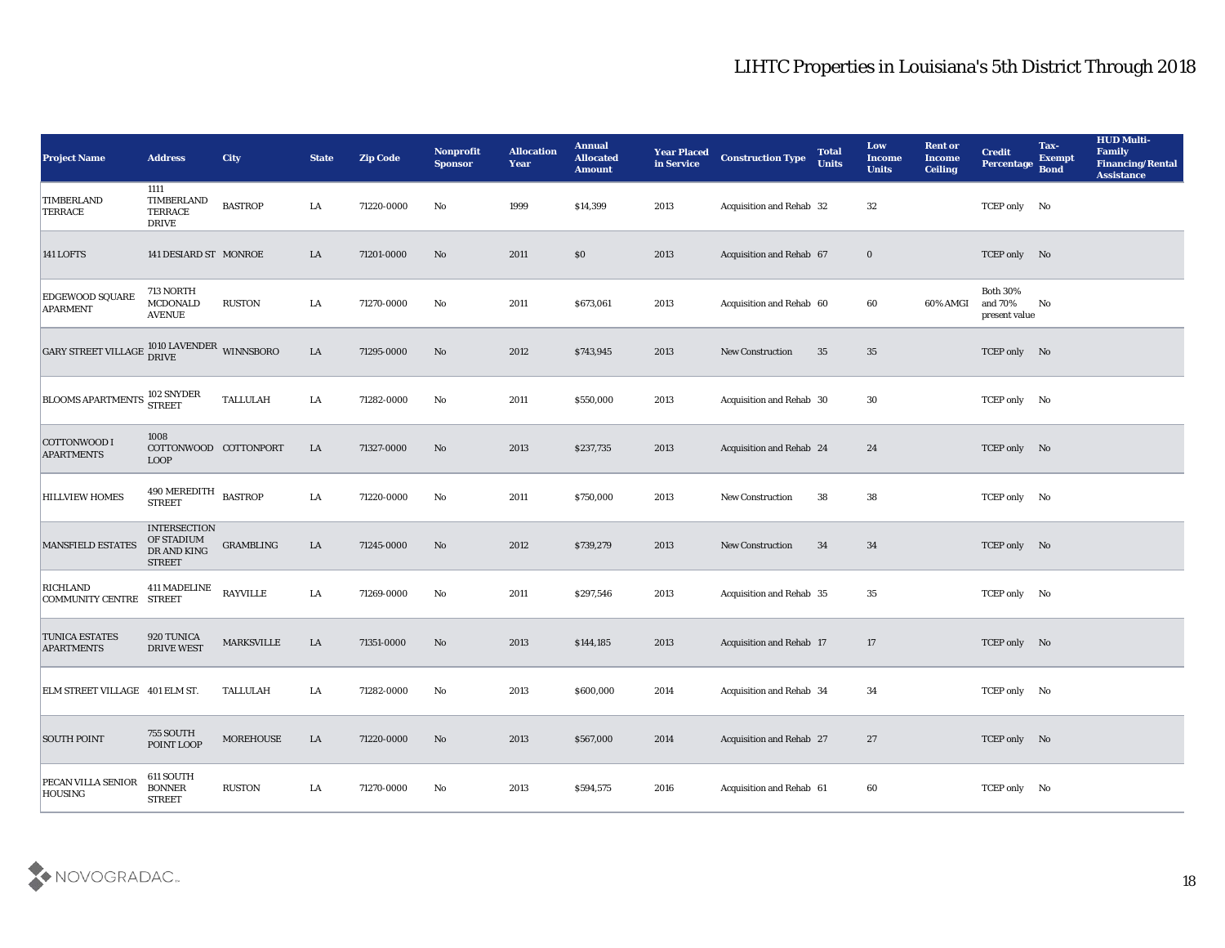| <b>Project Name</b>                        | <b>Address</b>                                                    | <b>City</b>       | <b>State</b> | <b>Zip Code</b> | Nonprofit<br><b>Sponsor</b> | <b>Allocation</b><br><b>Year</b> | <b>Annual</b><br><b>Allocated</b><br><b>Amount</b> | <b>Year Placed</b><br>in Service | <b>Construction Type</b>        | <b>Total</b><br><b>Units</b> | Low<br><b>Income</b><br><b>Units</b> | <b>Rent or</b><br>Income<br><b>Ceiling</b> | <b>Credit</b><br>Percentage                 | Tax-<br><b>Exempt</b><br><b>Bond</b> | <b>HUD Multi-</b><br>Family<br><b>Financing/Rental</b><br><b>Assistance</b> |
|--------------------------------------------|-------------------------------------------------------------------|-------------------|--------------|-----------------|-----------------------------|----------------------------------|----------------------------------------------------|----------------------------------|---------------------------------|------------------------------|--------------------------------------|--------------------------------------------|---------------------------------------------|--------------------------------------|-----------------------------------------------------------------------------|
| TIMBERLAND<br><b>TERRACE</b>               | 1111<br>TIMBERLAND<br><b>TERRACE</b><br><b>DRIVE</b>              | <b>BASTROP</b>    | LA           | 71220-0000      | No                          | 1999                             | \$14,399                                           | 2013                             | Acquisition and Rehab 32        |                              | 32                                   |                                            | TCEP only No                                |                                      |                                                                             |
| 141 LOFTS                                  | 141 DESIARD ST MONROE                                             |                   | LA           | 71201-0000      | No                          | 2011                             | \$0                                                | 2013                             | Acquisition and Rehab 67        |                              | $\bf{0}$                             |                                            | TCEP only No                                |                                      |                                                                             |
| EDGEWOOD SQUARE<br><b>APARMENT</b>         | 713 NORTH<br><b>MCDONALD</b><br><b>AVENUE</b>                     | <b>RUSTON</b>     | LA           | 71270-0000      | No                          | 2011                             | \$673,061                                          | 2013                             | Acquisition and Rehab 60        |                              | 60                                   | 60% AMGI                                   | <b>Both 30%</b><br>and 70%<br>present value | No                                   |                                                                             |
| <b>GARY STREET VILLAGE</b>                 | $1010$ LAVENDER $\,$ WINNSBORO DRIVE                              |                   | ${\rm LA}$   | 71295-0000      | No                          | 2012                             | \$743,945                                          | 2013                             | <b>New Construction</b>         | 35                           | 35                                   |                                            | TCEP only No                                |                                      |                                                                             |
| <b>BLOOMS APARTMENTS</b>                   | 102 SNYDER<br><b>STREET</b>                                       | <b>TALLULAH</b>   | LA           | 71282-0000      | No                          | 2011                             | \$550,000                                          | 2013                             | Acquisition and Rehab 30        |                              | 30                                   |                                            | TCEP only No                                |                                      |                                                                             |
| COTTONWOOD I<br><b>APARTMENTS</b>          | 1008<br>COTTONWOOD COTTONPORT<br><b>LOOP</b>                      |                   | LA           | 71327-0000      | No                          | 2013                             | \$237,735                                          | 2013                             | <b>Acquisition and Rehab 24</b> |                              | 24                                   |                                            | TCEP only No                                |                                      |                                                                             |
| <b>HILLVIEW HOMES</b>                      | 490 MEREDITH<br><b>STREET</b>                                     | <b>BASTROP</b>    | LA           | 71220-0000      | No                          | 2011                             | \$750,000                                          | 2013                             | <b>New Construction</b>         | 38                           | 38                                   |                                            | TCEP only No                                |                                      |                                                                             |
| <b>MANSFIELD ESTATES</b>                   | <b>INTERSECTION</b><br>OF STADIUM<br>DR AND KING<br><b>STREET</b> | <b>GRAMBLING</b>  | LA           | 71245-0000      | No                          | 2012                             | \$739,279                                          | 2013                             | <b>New Construction</b>         | 34                           | 34                                   |                                            | TCEP only No                                |                                      |                                                                             |
| <b>RICHLAND</b><br>COMMUNITY CENTRE STREET | <b>411 MADELINE</b>                                               | <b>RAYVILLE</b>   | LA           | 71269-0000      | No                          | 2011                             | \$297,546                                          | 2013                             | <b>Acquisition and Rehab 35</b> |                              | 35                                   |                                            | TCEP only No                                |                                      |                                                                             |
| <b>TUNICA ESTATES</b><br><b>APARTMENTS</b> | 920 TUNICA<br><b>DRIVE WEST</b>                                   | <b>MARKSVILLE</b> | LA           | 71351-0000      | No                          | 2013                             | \$144,185                                          | 2013                             | <b>Acquisition and Rehab 17</b> |                              | 17                                   |                                            | TCEP only No                                |                                      |                                                                             |
| ELM STREET VILLAGE 401 ELM ST.             |                                                                   | TALLULAH          | LA           | 71282-0000      | No                          | 2013                             | \$600,000                                          | 2014                             | Acquisition and Rehab 34        |                              | 34                                   |                                            | TCEP only No                                |                                      |                                                                             |
| <b>SOUTH POINT</b>                         | 755 SOUTH<br>POINT LOOP                                           | MOREHOUSE         | ${\rm LA}$   | 71220-0000      | $\rm\thinspace No$          | $\boldsymbol{2013}$              | \$567,000                                          | 2014                             | Acquisition and Rehab 27        |                              | 27                                   |                                            | TCEP only No                                |                                      |                                                                             |
| PECAN VILLA SENIOR<br><b>HOUSING</b>       | 611 SOUTH<br><b>BONNER</b><br>${\small\texttt{STREF}}$            | <b>RUSTON</b>     | ${\bf LA}$   | 71270-0000      | $\mathbf{N}\mathbf{o}$      | $\boldsymbol{2013}$              | \$594,575                                          | 2016                             | Acquisition and Rehab 61        |                              | $\bf{60}$                            |                                            | TCEP only No                                |                                      |                                                                             |

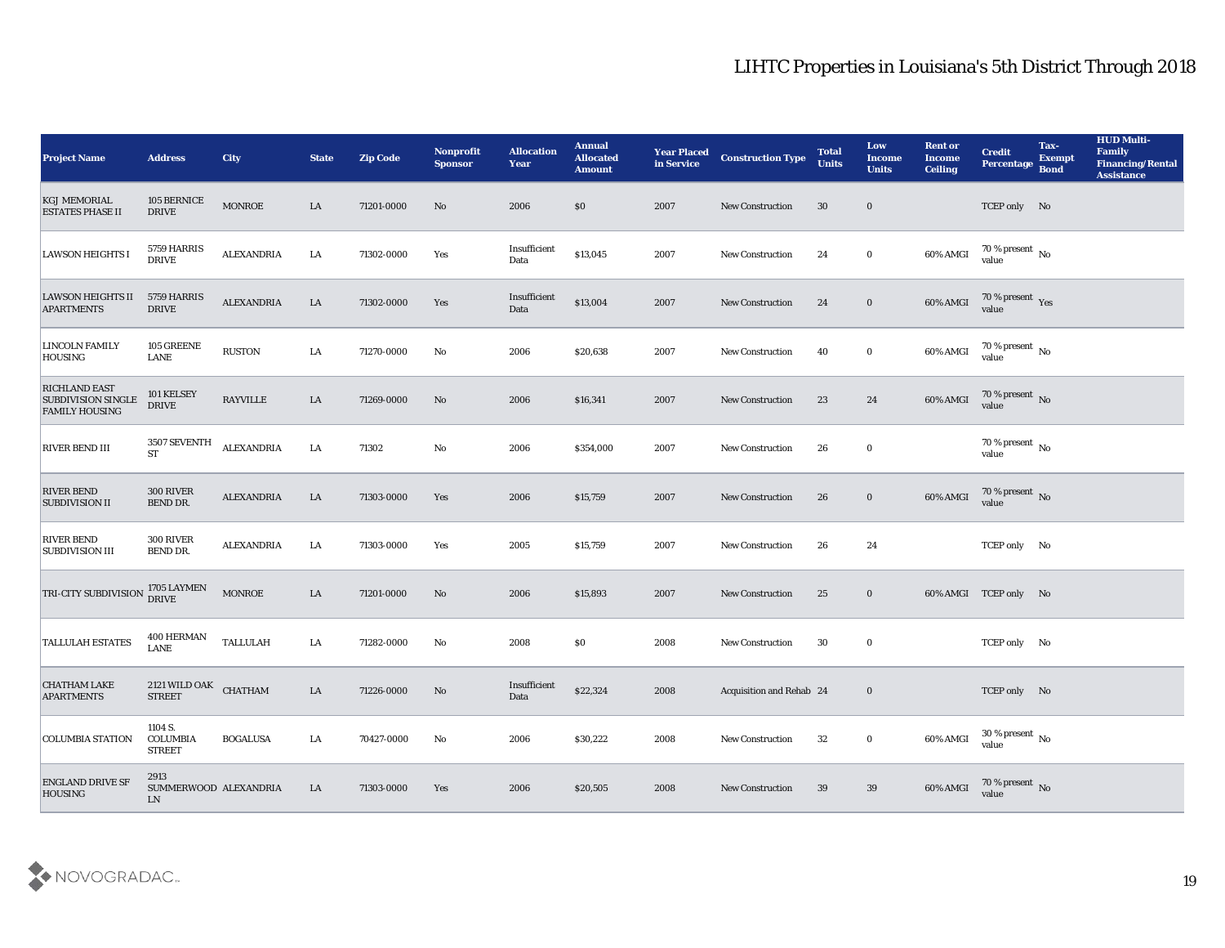| <b>Project Name</b>                                                        | <b>Address</b>                              | <b>City</b>       | <b>State</b> | <b>Zip Code</b> | <b>Nonprofit</b><br><b>Sponsor</b> | <b>Allocation</b><br>Year | <b>Annual</b><br><b>Allocated</b><br><b>Amount</b> | <b>Year Placed</b><br>in Service | <b>Construction Type</b> | <b>Total</b><br><b>Units</b> | Low<br><b>Income</b><br><b>Units</b> | <b>Rent or</b><br><b>Income</b><br><b>Ceiling</b> | <b>Credit</b><br>Percentage    | Tax-<br><b>Exempt</b><br><b>Bond</b> | <b>HUD Multi-</b><br><b>Family</b><br><b>Financing/Rental</b><br><b>Assistance</b> |
|----------------------------------------------------------------------------|---------------------------------------------|-------------------|--------------|-----------------|------------------------------------|---------------------------|----------------------------------------------------|----------------------------------|--------------------------|------------------------------|--------------------------------------|---------------------------------------------------|--------------------------------|--------------------------------------|------------------------------------------------------------------------------------|
| <b>KGJ MEMORIAL</b><br><b>ESTATES PHASE II</b>                             | 105 BERNICE<br><b>DRIVE</b>                 | <b>MONROE</b>     | LA           | 71201-0000      | No                                 | 2006                      | \$0                                                | 2007                             | <b>New Construction</b>  | 30                           | $\bf{0}$                             |                                                   | TCEP only No                   |                                      |                                                                                    |
| <b>LAWSON HEIGHTS I</b>                                                    | 5759 HARRIS<br><b>DRIVE</b>                 | ALEXANDRIA        | LA           | 71302-0000      | Yes                                | Insufficient<br>Data      | \$13,045                                           | 2007                             | <b>New Construction</b>  | 24                           | $\bf{0}$                             | 60% AMGI                                          | $70\,\%$ present $\,$ No value |                                      |                                                                                    |
| LAWSON HEIGHTS II<br><b>APARTMENTS</b>                                     | 5759 HARRIS<br><b>DRIVE</b>                 | <b>ALEXANDRIA</b> | LA           | 71302-0000      | Yes                                | Insufficient<br>Data      | \$13,004                                           | 2007                             | New Construction         | 24                           | $\bf{0}$                             | 60% AMGI                                          | 70 % present Yes<br>value      |                                      |                                                                                    |
| <b>LINCOLN FAMILY</b><br><b>HOUSING</b>                                    | 105 GREENE<br>LANE                          | <b>RUSTON</b>     | LA           | 71270-0000      | No                                 | 2006                      | \$20,638                                           | 2007                             | <b>New Construction</b>  | 40                           | $\bf{0}$                             | 60% AMGI                                          | $70\,\%$ present $\,$ No value |                                      |                                                                                    |
| <b>RICHLAND EAST</b><br><b>SUBDIVISION SINGLE</b><br><b>FAMILY HOUSING</b> | 101 KELSEY<br><b>DRIVE</b>                  | <b>RAYVILLE</b>   | LA           | 71269-0000      | No                                 | 2006                      | \$16,341                                           | 2007                             | <b>New Construction</b>  | 23                           | 24                                   | 60% AMGI                                          | $70\,\%$ present $\,$ No value |                                      |                                                                                    |
| <b>RIVER BEND III</b>                                                      | 3507 SEVENTH<br><b>ST</b>                   | <b>ALEXANDRIA</b> | LA           | 71302           | $\mathbf{N}\mathbf{o}$             | 2006                      | \$354,000                                          | 2007                             | New Construction         | 26                           | $\bf{0}$                             |                                                   | $70\,\%$ present $\,$ No value |                                      |                                                                                    |
| <b>RIVER BEND</b><br><b>SUBDIVISION II</b>                                 | 300 RIVER<br>BEND DR.                       | <b>ALEXANDRIA</b> | ${\rm LA}$   | 71303-0000      | Yes                                | 2006                      | \$15,759                                           | 2007                             | <b>New Construction</b>  | 26                           | $\mathbf{0}$                         | 60% AMGI                                          | $70\,\%$ present $\,$ No value |                                      |                                                                                    |
| <b>RIVER BEND</b><br><b>SUBDIVISION III</b>                                | 300 RIVER<br>BEND DR.                       | <b>ALEXANDRIA</b> | LA           | 71303-0000      | Yes                                | 2005                      | \$15,759                                           | 2007                             | New Construction         | 26                           | 24                                   |                                                   | TCEP only No                   |                                      |                                                                                    |
| <b>TRI-CITY SUBDIVISION</b>                                                | 1705 LAYMEN<br><b>DRIVE</b>                 | <b>MONROE</b>     | LA           | 71201-0000      | No                                 | 2006                      | \$15,893                                           | 2007                             | <b>New Construction</b>  | 25                           | $\bf{0}$                             |                                                   | 60% AMGI TCEP only No          |                                      |                                                                                    |
| <b>TALLULAH ESTATES</b>                                                    | 400 HERMAN<br><b>LANE</b>                   | TALLULAH          | LA           | 71282-0000      | No                                 | 2008                      | \$0                                                | 2008                             | <b>New Construction</b>  | 30                           | $\bf{0}$                             |                                                   | TCEP only No                   |                                      |                                                                                    |
| <b>CHATHAM LAKE</b><br><b>APARTMENTS</b>                                   | $2121$ WILD OAK CHATHAM<br><b>STREET</b>    |                   | LA           | 71226-0000      | No                                 | Insufficient<br>Data      | \$22,324                                           | 2008                             | Acquisition and Rehab 24 |                              | $\bf{0}$                             |                                                   | TCEP only No                   |                                      |                                                                                    |
| <b>COLUMBIA STATION</b>                                                    | 1104 S.<br>COLUMBIA<br><b>STREET</b>        | <b>BOGALUSA</b>   | LA           | 70427-0000      | No                                 | 2006                      | \$30,222                                           | 2008                             | New Construction         | 32                           | $\bf{0}$                             | 60% AMGI                                          | $30\,\%$ present $\,$ No value |                                      |                                                                                    |
| <b>ENGLAND DRIVE SF</b><br><b>HOUSING</b>                                  | 2913<br>SUMMERWOOD ALEXANDRIA<br>${\rm LN}$ |                   | LA           | 71303-0000      | Yes                                | 2006                      | \$20,505                                           | 2008                             | <b>New Construction</b>  | 39                           | 39                                   | 60% AMGI                                          | 70 % present No<br>value       |                                      |                                                                                    |

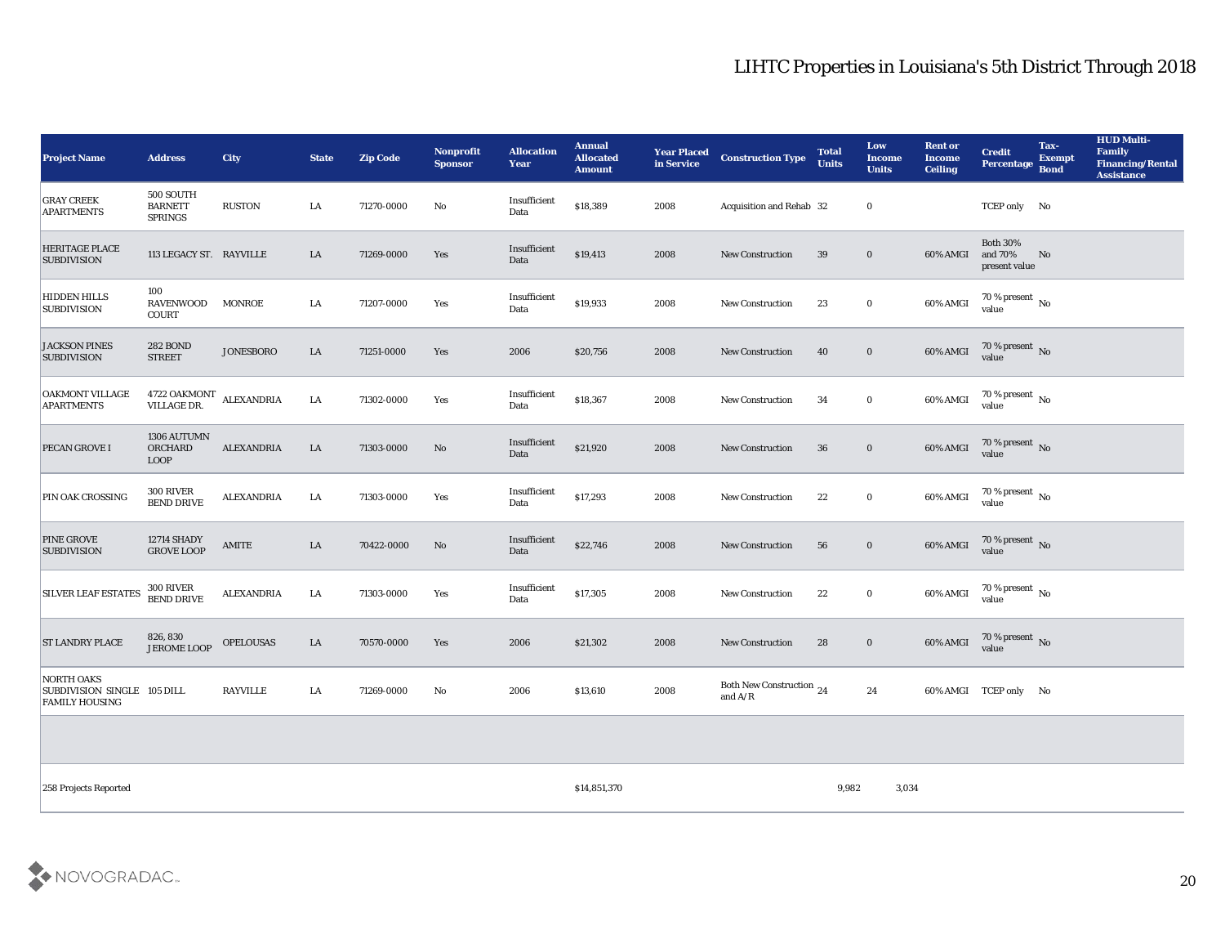| <b>Project Name</b>                                                | <b>Address</b>                                | <b>City</b>       | <b>State</b> | <b>Zip Code</b> | Nonprofit<br><b>Sponsor</b> | <b>Allocation</b><br><b>Year</b> | <b>Annual</b><br><b>Allocated</b><br><b>Amount</b> | <b>Year Placed</b><br>in Service | <b>Construction Type</b>                                                          | <b>Total</b><br><b>Units</b> | Low<br><b>Income</b><br><b>Units</b> | <b>Rent or</b><br><b>Income</b><br><b>Ceiling</b> | <b>Credit</b><br>Percentage                 | Tax-<br><b>Exempt</b><br><b>Bond</b> | <b>HUD Multi-</b><br>Family<br><b>Financing/Rental</b><br><b>Assistance</b> |
|--------------------------------------------------------------------|-----------------------------------------------|-------------------|--------------|-----------------|-----------------------------|----------------------------------|----------------------------------------------------|----------------------------------|-----------------------------------------------------------------------------------|------------------------------|--------------------------------------|---------------------------------------------------|---------------------------------------------|--------------------------------------|-----------------------------------------------------------------------------|
| <b>GRAY CREEK</b><br><b>APARTMENTS</b>                             | 500 SOUTH<br><b>BARNETT</b><br><b>SPRINGS</b> | <b>RUSTON</b>     | LA           | 71270-0000      | No                          | Insufficient<br>Data             | \$18,389                                           | 2008                             | Acquisition and Rehab 32                                                          |                              | $\bf{0}$                             |                                                   | TCEP only No                                |                                      |                                                                             |
| <b>HERITAGE PLACE</b><br><b>SUBDIVISION</b>                        | 113 LEGACY ST. RAYVILLE                       |                   | LA           | 71269-0000      | Yes                         | Insufficient<br>Data             | \$19,413                                           | 2008                             | <b>New Construction</b>                                                           | 39                           | $\bf{0}$                             | 60% AMGI                                          | <b>Both 30%</b><br>and 70%<br>present value | No                                   |                                                                             |
| <b>HIDDEN HILLS</b><br><b>SUBDIVISION</b>                          | 100<br><b>RAVENWOOD</b><br><b>COURT</b>       | <b>MONROE</b>     | LA           | 71207-0000      | Yes                         | Insufficient<br>Data             | \$19,933                                           | 2008                             | <b>New Construction</b>                                                           | 23                           | $\bf{0}$                             | 60% AMGI                                          | $70\,\%$ present $\,$ No value              |                                      |                                                                             |
| <b>JACKSON PINES</b><br><b>SUBDIVISION</b>                         | <b>282 BOND</b><br><b>STREET</b>              | <b>JONESBORO</b>  | LA           | 71251-0000      | Yes                         | 2006                             | \$20,756                                           | 2008                             | <b>New Construction</b>                                                           | 40                           | $\bf{0}$                             | 60% AMGI                                          | $70\,\%$ present $\,$ No value              |                                      |                                                                             |
| OAKMONT VILLAGE<br><b>APARTMENTS</b>                               | 4722 OAKMONT<br>VILLAGE DR.                   | <b>ALEXANDRIA</b> | LA           | 71302-0000      | Yes                         | Insufficient<br>Data             | \$18,367                                           | 2008                             | <b>New Construction</b>                                                           | 34                           | $\bf{0}$                             | 60% AMGI                                          | 70 % present No<br>value                    |                                      |                                                                             |
| PECAN GROVE I                                                      | 1306 AUTUMN<br>ORCHARD<br><b>LOOP</b>         | <b>ALEXANDRIA</b> | LA           | 71303-0000      | No                          | Insufficient<br>Data             | \$21,920                                           | 2008                             | <b>New Construction</b>                                                           | 36                           | $\bf{0}$                             | 60% AMGI                                          | $70\,\%$ present $\,$ No value              |                                      |                                                                             |
| PIN OAK CROSSING                                                   | <b>300 RIVER</b><br><b>BEND DRIVE</b>         | <b>ALEXANDRIA</b> | LA           | 71303-0000      | Yes                         | Insufficient<br>Data             | \$17,293                                           | 2008                             | <b>New Construction</b>                                                           | 22                           | $\bf{0}$                             | 60% AMGI                                          | $70\,\% \,present \over value$              |                                      |                                                                             |
| <b>PINE GROVE</b><br><b>SUBDIVISION</b>                            | <b>12714 SHADY</b><br><b>GROVE LOOP</b>       | AMITE             | LA           | 70422-0000      | No                          | Insufficient<br>Data             | \$22,746                                           | 2008                             | <b>New Construction</b>                                                           | 56                           | $\bf{0}$                             | 60% AMGI                                          | $70\,\%$ present $_{\rm No}$ value          |                                      |                                                                             |
| <b>SILVER LEAF ESTATES</b>                                         | 300 RIVER<br>BEND DRIVE                       | <b>ALEXANDRIA</b> | LA           | 71303-0000      | Yes                         | Insufficient<br>Data             | \$17,305                                           | 2008                             | <b>New Construction</b>                                                           | 22                           | $\bf{0}$                             | 60% AMGI                                          | 70 % present No<br>value                    |                                      |                                                                             |
| <b>ST LANDRY PLACE</b>                                             | 826, 830<br><b>JEROME LOOP</b>                | <b>OPELOUSAS</b>  | LA           | 70570-0000      | Yes                         | 2006                             | \$21,302                                           | 2008                             | <b>New Construction</b>                                                           | 28                           | $\bf{0}$                             | 60% AMGI                                          | $70\,\%$ present $\,$ No value              |                                      |                                                                             |
| NORTH OAKS<br>SUBDIVISION SINGLE 105 DILL<br><b>FAMILY HOUSING</b> |                                               | <b>RAYVILLE</b>   | LA           | 71269-0000      | No                          | 2006                             | \$13,610                                           | 2008                             | Both New Construction 24<br>and $\ensuremath{\mathrm{A}}/\ensuremath{\mathrm{R}}$ |                              | 24                                   |                                                   | 60% AMGI TCEP only No                       |                                      |                                                                             |
|                                                                    |                                               |                   |              |                 |                             |                                  |                                                    |                                  |                                                                                   |                              |                                      |                                                   |                                             |                                      |                                                                             |
| 258 Projects Reported                                              |                                               |                   |              |                 |                             |                                  | \$14,851,370                                       |                                  |                                                                                   | 9,982                        | 3,034                                |                                                   |                                             |                                      |                                                                             |